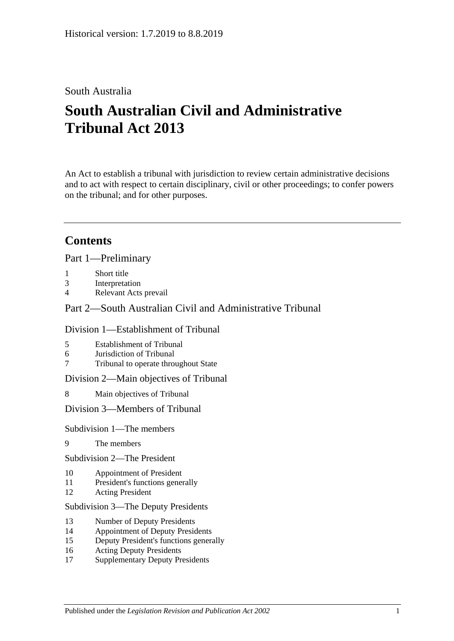# South Australia

# **South Australian Civil and Administrative Tribunal Act 2013**

An Act to establish a tribunal with jurisdiction to review certain administrative decisions and to act with respect to certain disciplinary, civil or other proceedings; to confer powers on the tribunal; and for other purposes.

# **Contents**

Part [1—Preliminary](#page-4-0)

- 1 [Short title](#page-4-1)
- 3 [Interpretation](#page-4-2)
- 4 [Relevant Acts prevail](#page-6-0)

Part [2—South Australian Civil and Administrative Tribunal](#page-6-1)

#### Division [1—Establishment of Tribunal](#page-6-2)

- 5 [Establishment of Tribunal](#page-6-3)
- 6 [Jurisdiction of Tribunal](#page-6-4)
- 7 [Tribunal to operate throughout State](#page-6-5)

Division [2—Main objectives of Tribunal](#page-6-6)

8 [Main objectives of Tribunal](#page-6-7)

Division [3—Members of Tribunal](#page-7-0)

Subdivision [1—The members](#page-7-1)

- 9 [The members](#page-7-2)
- Subdivision [2—The President](#page-7-3)
- 10 [Appointment of President](#page-7-4)
- 11 [President's functions generally](#page-8-0)
- 12 [Acting President](#page-9-0)

Subdivision [3—The Deputy Presidents](#page-10-0)

- 13 [Number of Deputy Presidents](#page-10-1)
- 14 [Appointment of Deputy Presidents](#page-10-2)
- 15 [Deputy President's functions generally](#page-11-0)
- 16 [Acting Deputy Presidents](#page-12-0)
- 17 [Supplementary Deputy Presidents](#page-13-0)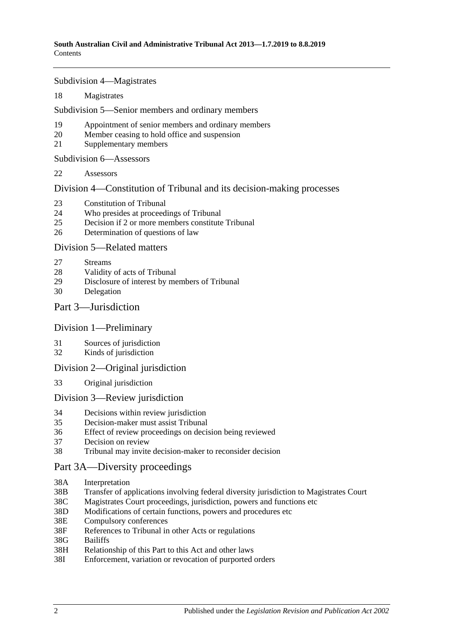Subdivision [4—Magistrates](#page-13-1)

18 [Magistrates](#page-13-2)

Subdivision [5—Senior members and ordinary members](#page-14-0)

- 19 [Appointment of senior members and](#page-14-1) ordinary members
- 20 [Member ceasing to hold office and suspension](#page-15-0)
- 21 [Supplementary members](#page-16-0)

Subdivision [6—Assessors](#page-16-1)

22 [Assessors](#page-16-2)

Division [4—Constitution of Tribunal and its decision-making processes](#page-17-0)

- 23 [Constitution of Tribunal](#page-17-1)
- 24 [Who presides at proceedings of Tribunal](#page-18-0)
- 25 [Decision if 2 or more members constitute Tribunal](#page-19-0)
- 26 [Determination of questions of law](#page-19-1)

#### Division [5—Related matters](#page-19-2)

- 27 [Streams](#page-19-3)
- 28 [Validity of acts of Tribunal](#page-19-4)
- 29 [Disclosure of interest by members of Tribunal](#page-19-5)
- 30 [Delegation](#page-20-0)

#### Part [3—Jurisdiction](#page-20-1)

#### Division [1—Preliminary](#page-20-2)

- 31 [Sources of jurisdiction](#page-20-3)
- 32 [Kinds of jurisdiction](#page-20-4)

#### Division [2—Original jurisdiction](#page-21-0)

33 [Original jurisdiction](#page-21-1)

#### Division [3—Review jurisdiction](#page-21-2)

- 34 [Decisions within review jurisdiction](#page-21-3)<br>35 Decision-maker must assist Tribunal
- 35 [Decision-maker must assist Tribunal](#page-22-0)
- 36 [Effect of review proceedings on decision being reviewed](#page-23-0)
- 37 [Decision on review](#page-23-1)
- 38 [Tribunal may invite decision-maker to reconsider decision](#page-24-0)

## [Part 3A—Diversity proceedings](#page-25-0)

- 38A [Interpretation](#page-25-1)
- 38B [Transfer of applications involving federal diversity jurisdiction to Magistrates Court](#page-25-2)
- 38C [Magistrates Court proceedings, jurisdiction, powers and functions etc](#page-26-0)
- 38D [Modifications of certain functions, powers and](#page-26-1) procedures etc
- 38E [Compulsory conferences](#page-27-0)
- 38F [References to Tribunal in other Acts or regulations](#page-27-1)
- 38G [Bailiffs](#page-27-2)
- 38H [Relationship of this Part to this Act and other laws](#page-27-3)
- 38I [Enforcement, variation or revocation of purported orders](#page-27-4)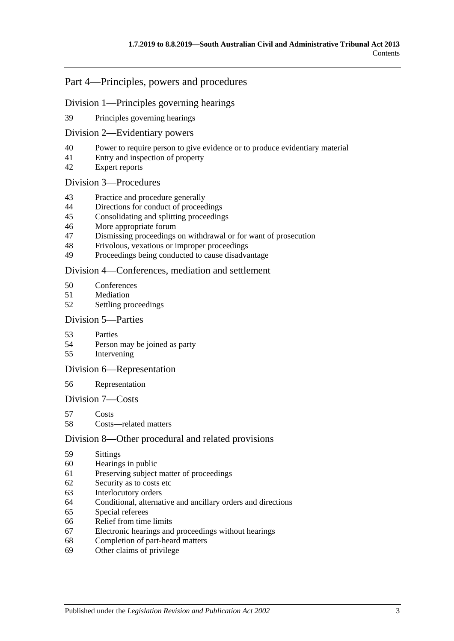## Part [4—Principles, powers and procedures](#page-28-0)

#### Division [1—Principles governing hearings](#page-28-1)

[Principles governing hearings](#page-28-2)

#### Division [2—Evidentiary powers](#page-29-0)

- [Power to require person to give evidence or to produce evidentiary material](#page-29-1)
- [Entry and inspection of property](#page-30-0)
- [Expert reports](#page-30-1)

#### Division [3—Procedures](#page-30-2)

- [Practice and procedure generally](#page-30-3)
- [Directions for conduct of proceedings](#page-31-0)
- [Consolidating and splitting proceedings](#page-31-1)
- [More appropriate forum](#page-32-0)
- [Dismissing proceedings on withdrawal or for want of prosecution](#page-32-1)
- [Frivolous, vexatious or improper proceedings](#page-32-2)
- [Proceedings being conducted to cause disadvantage](#page-32-3)

#### Division [4—Conferences, mediation and settlement](#page-33-0)

- [Conferences](#page-33-1)
- [Mediation](#page-35-0)
- [Settling proceedings](#page-35-1)

#### Division [5—Parties](#page-36-0)

- [Parties](#page-36-1)
- [Person may be joined as party](#page-36-2)
- [Intervening](#page-37-0)

#### Division [6—Representation](#page-37-1)

#### [Representation](#page-37-2)

#### Division [7—Costs](#page-37-3)

- [Costs](#page-37-4)
- [Costs—related matters](#page-38-0)

#### Division [8—Other procedural and related provisions](#page-38-1)

- [Sittings](#page-38-2)
- [Hearings in public](#page-38-3)
- [Preserving subject matter of proceedings](#page-39-0)
- [Security as to costs etc](#page-40-0)
- [Interlocutory orders](#page-40-1)
- [Conditional, alternative and ancillary orders and directions](#page-40-2)
- [Special referees](#page-40-3)
- [Relief from time limits](#page-41-0)
- [Electronic hearings and proceedings without hearings](#page-41-1)
- [Completion of part-heard matters](#page-41-2)
- [Other claims of privilege](#page-41-3)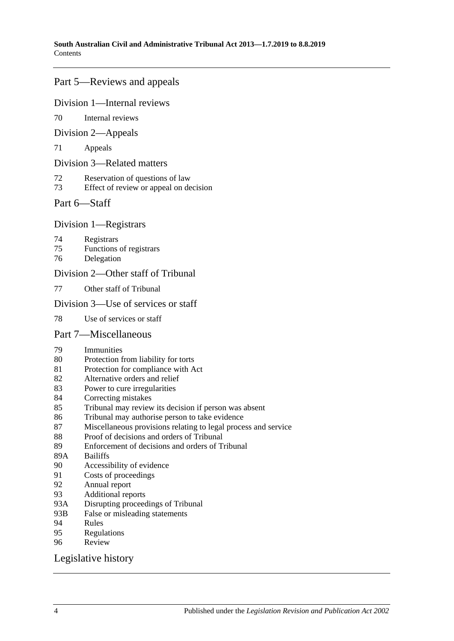## Part [5—Reviews and appeals](#page-41-4)

#### Division [1—Internal reviews](#page-41-5)

[Internal reviews](#page-41-6)

#### Division [2—Appeals](#page-42-0)

[Appeals](#page-42-1)

#### Division [3—Related matters](#page-44-0)

- [Reservation of questions of law](#page-44-1)
- [Effect of review or appeal on decision](#page-44-2)

## Part [6—Staff](#page-44-3)

## Division [1—Registrars](#page-44-4)

- [Registrars](#page-44-5)
- [Functions of registrars](#page-45-0)
- [Delegation](#page-45-1)

## Division [2—Other staff of Tribunal](#page-46-0)

[Other staff of Tribunal](#page-46-1)

## Division [3—Use of services or staff](#page-46-2)

[Use of services or staff](#page-46-3)

## Part [7—Miscellaneous](#page-46-4)

- [Immunities](#page-46-5)
- [Protection from liability for torts](#page-46-6)
- [Protection for compliance with Act](#page-47-0)
- [Alternative orders and relief](#page-47-1)
- [Power to cure irregularities](#page-47-2)
- [Correcting mistakes](#page-47-3)
- [Tribunal may review its decision if person was absent](#page-48-0)
- [Tribunal may authorise person to take evidence](#page-48-1)
- [Miscellaneous provisions relating to legal process and service](#page-48-2)
- [Proof of decisions and orders of Tribunal](#page-49-0)
- [Enforcement of decisions and orders of Tribunal](#page-49-1)
- 89A [Bailiffs](#page-49-2)<br>90 Accessi
- [Accessibility of evidence](#page-50-0)
- [Costs of proceedings](#page-50-1)
- [Annual report](#page-51-0)
- [Additional reports](#page-51-1)
- 93A [Disrupting proceedings of Tribunal](#page-51-2)
- 93B [False or misleading statements](#page-51-3)
- [Rules](#page-51-4)
- [Regulations](#page-52-0)<br>96 Review
- **[Review](#page-53-0)**

## [Legislative history](#page-54-0)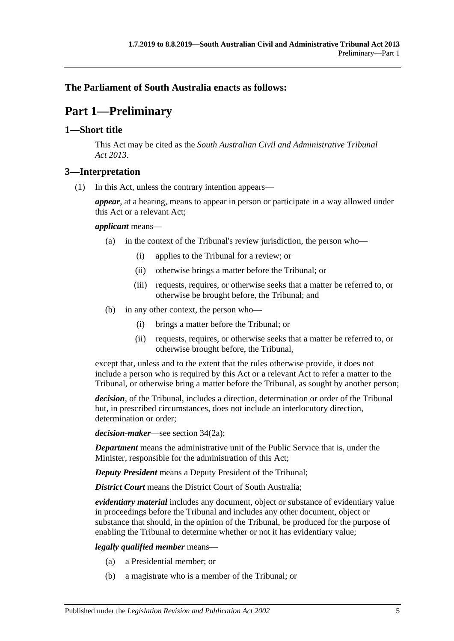## <span id="page-4-0"></span>**The Parliament of South Australia enacts as follows:**

# **Part 1—Preliminary**

## <span id="page-4-1"></span>**1—Short title**

This Act may be cited as the *South Australian Civil and Administrative Tribunal Act 2013*.

#### <span id="page-4-2"></span>**3—Interpretation**

(1) In this Act, unless the contrary intention appears—

*appear*, at a hearing, means to appear in person or participate in a way allowed under this Act or a relevant Act;

#### *applicant* means—

- (a) in the context of the Tribunal's review jurisdiction, the person who—
	- (i) applies to the Tribunal for a review; or
	- (ii) otherwise brings a matter before the Tribunal; or
	- (iii) requests, requires, or otherwise seeks that a matter be referred to, or otherwise be brought before, the Tribunal; and
- (b) in any other context, the person who—
	- (i) brings a matter before the Tribunal; or
	- (ii) requests, requires, or otherwise seeks that a matter be referred to, or otherwise brought before, the Tribunal,

except that, unless and to the extent that the rules otherwise provide, it does not include a person who is required by this Act or a relevant Act to refer a matter to the Tribunal, or otherwise bring a matter before the Tribunal, as sought by another person;

*decision*, of the Tribunal, includes a direction, determination or order of the Tribunal but, in prescribed circumstances, does not include an interlocutory direction, determination or order;

*decision-maker*—see section 34(2a);

*Department* means the administrative unit of the Public Service that is, under the Minister, responsible for the administration of this Act;

*Deputy President* means a Deputy President of the Tribunal;

*District Court* means the District Court of South Australia;

*evidentiary material* includes any document, object or substance of evidentiary value in proceedings before the Tribunal and includes any other document, object or substance that should, in the opinion of the Tribunal, be produced for the purpose of enabling the Tribunal to determine whether or not it has evidentiary value;

*legally qualified member* means—

- (a) a Presidential member; or
- (b) a magistrate who is a member of the Tribunal; or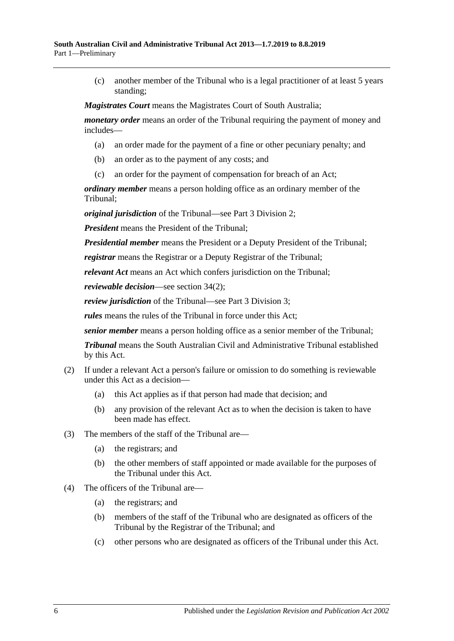(c) another member of the Tribunal who is a legal practitioner of at least 5 years standing;

*Magistrates Court* means the Magistrates Court of South Australia;

*monetary order* means an order of the Tribunal requiring the payment of money and includes—

- (a) an order made for the payment of a fine or other pecuniary penalty; and
- (b) an order as to the payment of any costs; and
- (c) an order for the payment of compensation for breach of an Act;

*ordinary member* means a person holding office as an ordinary member of the Tribunal;

*original jurisdiction* of the Tribunal—see Part [3 Division](#page-21-0) 2;

*President* means the President of the Tribunal;

*Presidential member* means the President or a Deputy President of the Tribunal;

*registrar* means the Registrar or a Deputy Registrar of the Tribunal;

*relevant Act* means an Act which confers jurisdiction on the Tribunal;

*reviewable decision*—see section 34(2);

*review jurisdiction* of the Tribunal—see Part [3 Division](#page-21-2) 3;

*rules* means the rules of the Tribunal in force under this Act;

*senior member* means a person holding office as a senior member of the Tribunal;

*Tribunal* means the South Australian Civil and Administrative Tribunal established by this Act.

- (2) If under a relevant Act a person's failure or omission to do something is reviewable under this Act as a decision—
	- (a) this Act applies as if that person had made that decision; and
	- (b) any provision of the relevant Act as to when the decision is taken to have been made has effect.
- (3) The members of the staff of the Tribunal are—
	- (a) the registrars; and
	- (b) the other members of staff appointed or made available for the purposes of the Tribunal under this Act.
- (4) The officers of the Tribunal are—
	- (a) the registrars; and
	- (b) members of the staff of the Tribunal who are designated as officers of the Tribunal by the Registrar of the Tribunal; and
	- (c) other persons who are designated as officers of the Tribunal under this Act.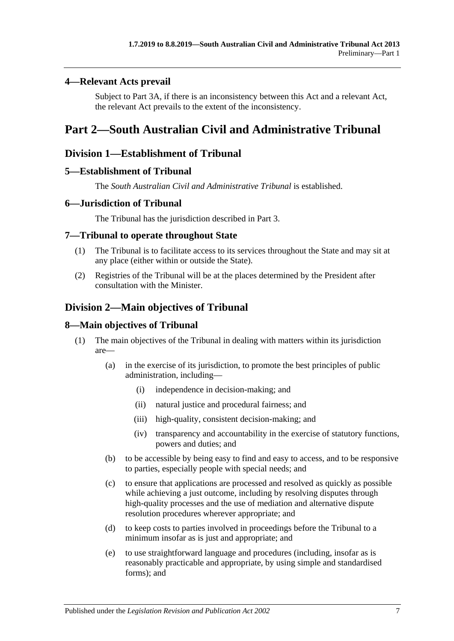## <span id="page-6-0"></span>**4—Relevant Acts prevail**

Subject to [Part 3A,](#page-25-0) if there is an inconsistency between this Act and a relevant Act, the relevant Act prevails to the extent of the inconsistency.

# <span id="page-6-1"></span>**Part 2—South Australian Civil and Administrative Tribunal**

# <span id="page-6-2"></span>**Division 1—Establishment of Tribunal**

## <span id="page-6-3"></span>**5—Establishment of Tribunal**

The *South Australian Civil and Administrative Tribunal* is established.

## <span id="page-6-4"></span>**6—Jurisdiction of Tribunal**

The Tribunal has the jurisdiction described in [Part](#page-20-1) 3.

## <span id="page-6-5"></span>**7—Tribunal to operate throughout State**

- (1) The Tribunal is to facilitate access to its services throughout the State and may sit at any place (either within or outside the State).
- (2) Registries of the Tribunal will be at the places determined by the President after consultation with the Minister.

# <span id="page-6-6"></span>**Division 2—Main objectives of Tribunal**

## <span id="page-6-7"></span>**8—Main objectives of Tribunal**

- (1) The main objectives of the Tribunal in dealing with matters within its jurisdiction are—
	- (a) in the exercise of its jurisdiction, to promote the best principles of public administration, including—
		- (i) independence in decision-making; and
		- (ii) natural justice and procedural fairness; and
		- (iii) high-quality, consistent decision-making; and
		- (iv) transparency and accountability in the exercise of statutory functions, powers and duties; and
	- (b) to be accessible by being easy to find and easy to access, and to be responsive to parties, especially people with special needs; and
	- (c) to ensure that applications are processed and resolved as quickly as possible while achieving a just outcome, including by resolving disputes through high-quality processes and the use of mediation and alternative dispute resolution procedures wherever appropriate; and
	- (d) to keep costs to parties involved in proceedings before the Tribunal to a minimum insofar as is just and appropriate; and
	- (e) to use straightforward language and procedures (including, insofar as is reasonably practicable and appropriate, by using simple and standardised forms); and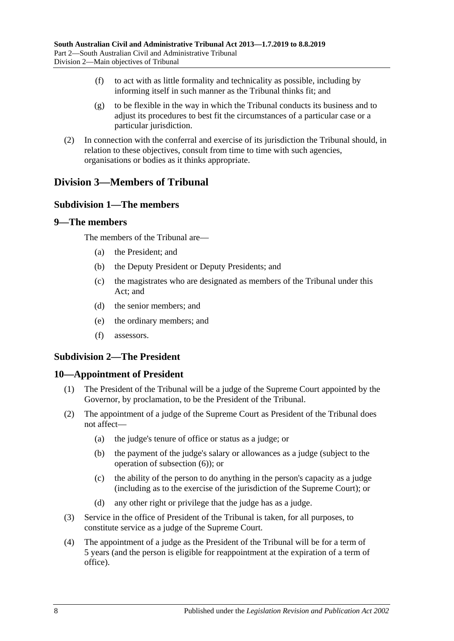- (f) to act with as little formality and technicality as possible, including by informing itself in such manner as the Tribunal thinks fit; and
- (g) to be flexible in the way in which the Tribunal conducts its business and to adjust its procedures to best fit the circumstances of a particular case or a particular jurisdiction.
- (2) In connection with the conferral and exercise of its jurisdiction the Tribunal should, in relation to these objectives, consult from time to time with such agencies, organisations or bodies as it thinks appropriate.

# <span id="page-7-1"></span><span id="page-7-0"></span>**Division 3—Members of Tribunal**

## **Subdivision 1—The members**

#### <span id="page-7-2"></span>**9—The members**

The members of the Tribunal are—

- (a) the President; and
- (b) the Deputy President or Deputy Presidents; and
- (c) the magistrates who are designated as members of the Tribunal under this Act; and
- (d) the senior members; and
- (e) the ordinary members; and
- (f) assessors.

## <span id="page-7-3"></span>**Subdivision 2—The President**

#### <span id="page-7-4"></span>**10—Appointment of President**

- (1) The President of the Tribunal will be a judge of the Supreme Court appointed by the Governor, by proclamation, to be the President of the Tribunal.
- <span id="page-7-5"></span>(2) The appointment of a judge of the Supreme Court as President of the Tribunal does not affect—
	- (a) the judge's tenure of office or status as a judge; or
	- (b) the payment of the judge's salary or allowances as a judge (subject to the operation of [subsection](#page-8-1) (6)); or
	- (c) the ability of the person to do anything in the person's capacity as a judge (including as to the exercise of the jurisdiction of the Supreme Court); or
	- (d) any other right or privilege that the judge has as a judge.
- <span id="page-7-6"></span>(3) Service in the office of President of the Tribunal is taken, for all purposes, to constitute service as a judge of the Supreme Court.
- (4) The appointment of a judge as the President of the Tribunal will be for a term of 5 years (and the person is eligible for reappointment at the expiration of a term of office).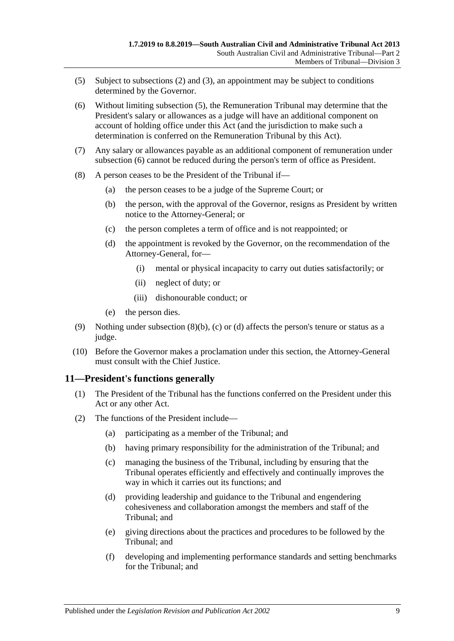- <span id="page-8-2"></span>(5) Subject to [subsections](#page-7-5) (2) and [\(3\),](#page-7-6) an appointment may be subject to conditions determined by the Governor.
- <span id="page-8-1"></span>(6) Without limiting [subsection](#page-8-2) (5), the Remuneration Tribunal may determine that the President's salary or allowances as a judge will have an additional component on account of holding office under this Act (and the jurisdiction to make such a determination is conferred on the Remuneration Tribunal by this Act).
- (7) Any salary or allowances payable as an additional component of remuneration under [subsection](#page-8-1) (6) cannot be reduced during the person's term of office as President.
- <span id="page-8-5"></span><span id="page-8-4"></span><span id="page-8-3"></span>(8) A person ceases to be the President of the Tribunal if—
	- (a) the person ceases to be a judge of the Supreme Court; or
	- (b) the person, with the approval of the Governor, resigns as President by written notice to the Attorney-General; or
	- (c) the person completes a term of office and is not reappointed; or
	- (d) the appointment is revoked by the Governor, on the recommendation of the Attorney-General, for—
		- (i) mental or physical incapacity to carry out duties satisfactorily; or
		- (ii) neglect of duty; or
		- (iii) dishonourable conduct; or
	- (e) the person dies.
- (9) Nothing under [subsection](#page-8-3) (8)(b), [\(c\)](#page-8-4) or [\(d\)](#page-8-5) affects the person's tenure or status as a judge.
- (10) Before the Governor makes a proclamation under this section, the Attorney-General must consult with the Chief Justice.

## <span id="page-8-0"></span>**11—President's functions generally**

- (1) The President of the Tribunal has the functions conferred on the President under this Act or any other Act.
- (2) The functions of the President include—
	- (a) participating as a member of the Tribunal; and
	- (b) having primary responsibility for the administration of the Tribunal; and
	- (c) managing the business of the Tribunal, including by ensuring that the Tribunal operates efficiently and effectively and continually improves the way in which it carries out its functions; and
	- (d) providing leadership and guidance to the Tribunal and engendering cohesiveness and collaboration amongst the members and staff of the Tribunal; and
	- (e) giving directions about the practices and procedures to be followed by the Tribunal; and
	- (f) developing and implementing performance standards and setting benchmarks for the Tribunal; and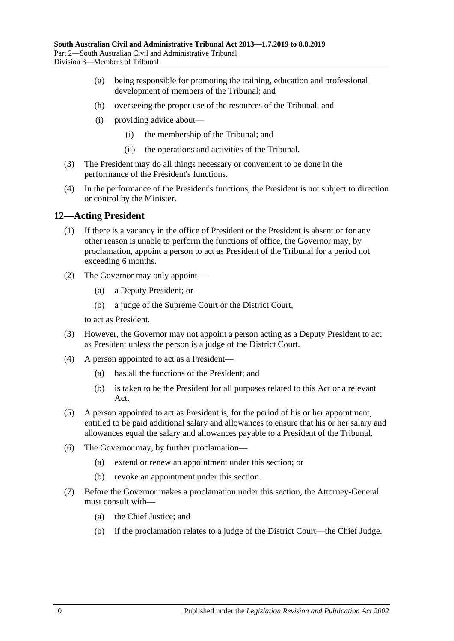- (g) being responsible for promoting the training, education and professional development of members of the Tribunal; and
- (h) overseeing the proper use of the resources of the Tribunal; and
- (i) providing advice about—
	- (i) the membership of the Tribunal; and
	- (ii) the operations and activities of the Tribunal.
- (3) The President may do all things necessary or convenient to be done in the performance of the President's functions.
- (4) In the performance of the President's functions, the President is not subject to direction or control by the Minister.

## <span id="page-9-0"></span>**12—Acting President**

- (1) If there is a vacancy in the office of President or the President is absent or for any other reason is unable to perform the functions of office, the Governor may, by proclamation, appoint a person to act as President of the Tribunal for a period not exceeding 6 months.
- (2) The Governor may only appoint—
	- (a) a Deputy President; or
	- (b) a judge of the Supreme Court or the District Court,

to act as President.

- (3) However, the Governor may not appoint a person acting as a Deputy President to act as President unless the person is a judge of the District Court.
- (4) A person appointed to act as a President—
	- (a) has all the functions of the President; and
	- (b) is taken to be the President for all purposes related to this Act or a relevant Act.
- (5) A person appointed to act as President is, for the period of his or her appointment, entitled to be paid additional salary and allowances to ensure that his or her salary and allowances equal the salary and allowances payable to a President of the Tribunal.
- (6) The Governor may, by further proclamation—
	- (a) extend or renew an appointment under this section; or
	- (b) revoke an appointment under this section.
- (7) Before the Governor makes a proclamation under this section, the Attorney-General must consult with—
	- (a) the Chief Justice; and
	- (b) if the proclamation relates to a judge of the District Court—the Chief Judge.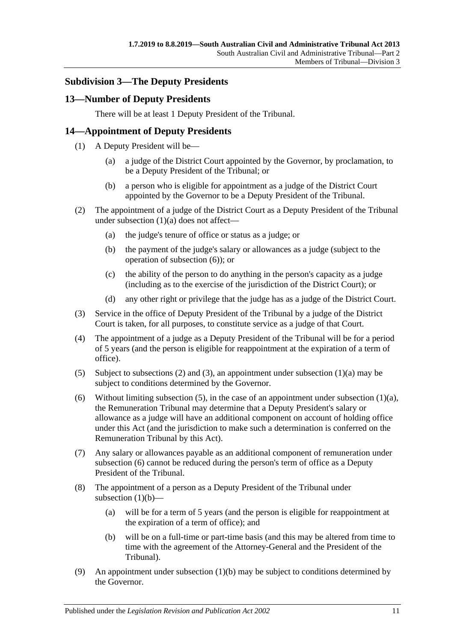## <span id="page-10-0"></span>**Subdivision 3—The Deputy Presidents**

## <span id="page-10-1"></span>**13—Number of Deputy Presidents**

There will be at least 1 Deputy President of the Tribunal.

## <span id="page-10-2"></span>**14—Appointment of Deputy Presidents**

- <span id="page-10-3"></span>(1) A Deputy President will be—
	- (a) a judge of the District Court appointed by the Governor, by proclamation, to be a Deputy President of the Tribunal; or
	- (b) a person who is eligible for appointment as a judge of the District Court appointed by the Governor to be a Deputy President of the Tribunal.
- <span id="page-10-8"></span><span id="page-10-5"></span>(2) The appointment of a judge of the District Court as a Deputy President of the Tribunal under [subsection](#page-10-3) (1)(a) does not affect—
	- (a) the judge's tenure of office or status as a judge; or
	- (b) the payment of the judge's salary or allowances as a judge (subject to the operation of [subsection](#page-10-4) (6)); or
	- (c) the ability of the person to do anything in the person's capacity as a judge (including as to the exercise of the jurisdiction of the District Court); or
	- (d) any other right or privilege that the judge has as a judge of the District Court.
- <span id="page-10-6"></span>(3) Service in the office of Deputy President of the Tribunal by a judge of the District Court is taken, for all purposes, to constitute service as a judge of that Court.
- (4) The appointment of a judge as a Deputy President of the Tribunal will be for a period of 5 years (and the person is eligible for reappointment at the expiration of a term of office).
- <span id="page-10-7"></span>(5) Subject to [subsections \(2\)](#page-10-5) and [\(3\),](#page-10-6) an appointment under [subsection](#page-10-3)  $(1)(a)$  may be subject to conditions determined by the Governor.
- <span id="page-10-4"></span>(6) Without limiting [subsection](#page-10-3) (5), in the case of an appointment under subsection  $(1)(a)$ , the Remuneration Tribunal may determine that a Deputy President's salary or allowance as a judge will have an additional component on account of holding office under this Act (and the jurisdiction to make such a determination is conferred on the Remuneration Tribunal by this Act).
- (7) Any salary or allowances payable as an additional component of remuneration under [subsection](#page-10-4) (6) cannot be reduced during the person's term of office as a Deputy President of the Tribunal.
- (8) The appointment of a person as a Deputy President of the Tribunal under [subsection](#page-10-8)  $(1)(b)$ —
	- (a) will be for a term of 5 years (and the person is eligible for reappointment at the expiration of a term of office); and
	- (b) will be on a full-time or part-time basis (and this may be altered from time to time with the agreement of the Attorney-General and the President of the Tribunal).
- <span id="page-10-10"></span><span id="page-10-9"></span>(9) An appointment under [subsection](#page-10-8)  $(1)(b)$  may be subject to conditions determined by the Governor.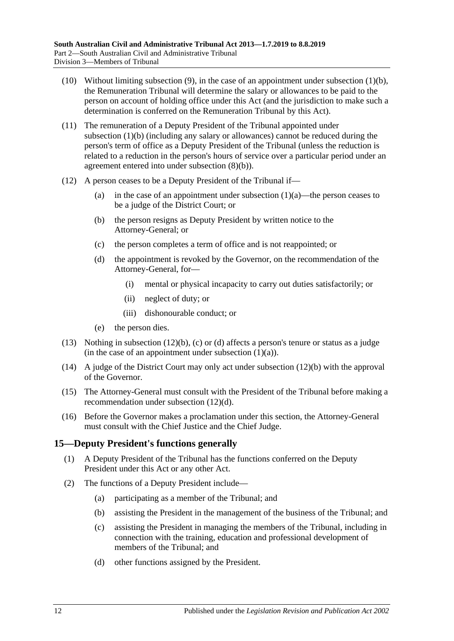- (10) Without limiting [subsection](#page-10-9) (9), in the case of an appointment under [subsection](#page-10-8) (1)(b), the Remuneration Tribunal will determine the salary or allowances to be paid to the person on account of holding office under this Act (and the jurisdiction to make such a determination is conferred on the Remuneration Tribunal by this Act).
- (11) The remuneration of a Deputy President of the Tribunal appointed under [subsection](#page-10-8) (1)(b) (including any salary or allowances) cannot be reduced during the person's term of office as a Deputy President of the Tribunal (unless the reduction is related to a reduction in the person's hours of service over a particular period under an agreement entered into under [subsection](#page-10-10) (8)(b)).
- <span id="page-11-3"></span><span id="page-11-2"></span><span id="page-11-1"></span>(12) A person ceases to be a Deputy President of the Tribunal if
	- (a) in the case of an appointment under [subsection](#page-10-3)  $(1)(a)$ —the person ceases to be a judge of the District Court; or
	- (b) the person resigns as Deputy President by written notice to the Attorney-General; or
	- (c) the person completes a term of office and is not reappointed; or
	- (d) the appointment is revoked by the Governor, on the recommendation of the Attorney-General, for—
		- (i) mental or physical incapacity to carry out duties satisfactorily; or
		- (ii) neglect of duty; or
		- (iii) dishonourable conduct; or
	- (e) the person dies.
- (13) Nothing in [subsection](#page-11-1) (12)(b), [\(c\)](#page-11-2) or [\(d\)](#page-11-3) affects a person's tenure or status as a judge (in the case of an appointment under [subsection](#page-10-3)  $(1)(a)$ ).
- (14) A judge of the District Court may only act under [subsection](#page-11-1) (12)(b) with the approval of the Governor.
- (15) The Attorney-General must consult with the President of the Tribunal before making a recommendation under [subsection](#page-11-3) (12)(d).
- (16) Before the Governor makes a proclamation under this section, the Attorney-General must consult with the Chief Justice and the Chief Judge.

# <span id="page-11-0"></span>**15—Deputy President's functions generally**

- (1) A Deputy President of the Tribunal has the functions conferred on the Deputy President under this Act or any other Act.
- (2) The functions of a Deputy President include—
	- (a) participating as a member of the Tribunal; and
	- (b) assisting the President in the management of the business of the Tribunal; and
	- (c) assisting the President in managing the members of the Tribunal, including in connection with the training, education and professional development of members of the Tribunal; and
	- (d) other functions assigned by the President.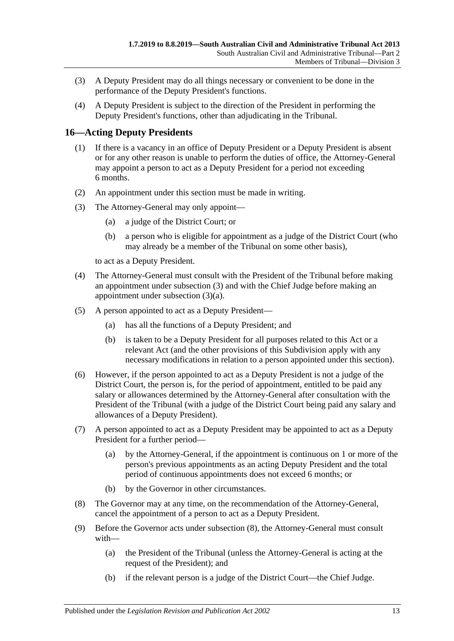- (3) A Deputy President may do all things necessary or convenient to be done in the performance of the Deputy President's functions.
- (4) A Deputy President is subject to the direction of the President in performing the Deputy President's functions, other than adjudicating in the Tribunal.

## <span id="page-12-0"></span>**16—Acting Deputy Presidents**

- (1) If there is a vacancy in an office of Deputy President or a Deputy President is absent or for any other reason is unable to perform the duties of office, the Attorney-General may appoint a person to act as a Deputy President for a period not exceeding 6 months.
- (2) An appointment under this section must be made in writing.
- <span id="page-12-2"></span><span id="page-12-1"></span>(3) The Attorney-General may only appoint—
	- (a) a judge of the District Court; or
	- (b) a person who is eligible for appointment as a judge of the District Court (who may already be a member of the Tribunal on some other basis),

to act as a Deputy President.

- (4) The Attorney-General must consult with the President of the Tribunal before making an appointment under [subsection](#page-12-1) (3) and with the Chief Judge before making an appointment under [subsection](#page-12-2) (3)(a).
- (5) A person appointed to act as a Deputy President—
	- (a) has all the functions of a Deputy President; and
	- (b) is taken to be a Deputy President for all purposes related to this Act or a relevant Act (and the other provisions of this Subdivision apply with any necessary modifications in relation to a person appointed under this section).
- (6) However, if the person appointed to act as a Deputy President is not a judge of the District Court, the person is, for the period of appointment, entitled to be paid any salary or allowances determined by the Attorney-General after consultation with the President of the Tribunal (with a judge of the District Court being paid any salary and allowances of a Deputy President).
- (7) A person appointed to act as a Deputy President may be appointed to act as a Deputy President for a further period—
	- (a) by the Attorney-General, if the appointment is continuous on 1 or more of the person's previous appointments as an acting Deputy President and the total period of continuous appointments does not exceed 6 months; or
	- (b) by the Governor in other circumstances.
- <span id="page-12-3"></span>(8) The Governor may at any time, on the recommendation of the Attorney-General, cancel the appointment of a person to act as a Deputy President.
- (9) Before the Governor acts under [subsection](#page-12-3) (8), the Attorney-General must consult with—
	- (a) the President of the Tribunal (unless the Attorney-General is acting at the request of the President); and
	- (b) if the relevant person is a judge of the District Court—the Chief Judge.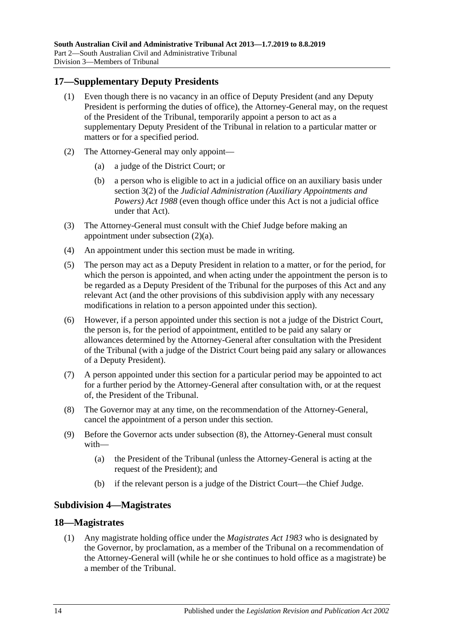## <span id="page-13-0"></span>**17—Supplementary Deputy Presidents**

- (1) Even though there is no vacancy in an office of Deputy President (and any Deputy President is performing the duties of office), the Attorney-General may, on the request of the President of the Tribunal, temporarily appoint a person to act as a supplementary Deputy President of the Tribunal in relation to a particular matter or matters or for a specified period.
- <span id="page-13-3"></span>(2) The Attorney-General may only appoint—
	- (a) a judge of the District Court; or
	- (b) a person who is eligible to act in a judicial office on an auxiliary basis under section 3(2) of the *[Judicial Administration \(Auxiliary Appointments and](http://www.legislation.sa.gov.au/index.aspx?action=legref&type=act&legtitle=Judicial%20Administration%20(Auxiliary%20Appointments%20and%20Powers)%20Act%201988)  [Powers\) Act](http://www.legislation.sa.gov.au/index.aspx?action=legref&type=act&legtitle=Judicial%20Administration%20(Auxiliary%20Appointments%20and%20Powers)%20Act%201988) 1988* (even though office under this Act is not a judicial office under that Act).
- (3) The Attorney-General must consult with the Chief Judge before making an appointment under [subsection](#page-13-3) (2)(a).
- (4) An appointment under this section must be made in writing.
- (5) The person may act as a Deputy President in relation to a matter, or for the period, for which the person is appointed, and when acting under the appointment the person is to be regarded as a Deputy President of the Tribunal for the purposes of this Act and any relevant Act (and the other provisions of this subdivision apply with any necessary modifications in relation to a person appointed under this section).
- (6) However, if a person appointed under this section is not a judge of the District Court, the person is, for the period of appointment, entitled to be paid any salary or allowances determined by the Attorney-General after consultation with the President of the Tribunal (with a judge of the District Court being paid any salary or allowances of a Deputy President).
- (7) A person appointed under this section for a particular period may be appointed to act for a further period by the Attorney-General after consultation with, or at the request of, the President of the Tribunal.
- <span id="page-13-4"></span>(8) The Governor may at any time, on the recommendation of the Attorney-General, cancel the appointment of a person under this section.
- (9) Before the Governor acts under [subsection](#page-13-4) (8), the Attorney-General must consult with—
	- (a) the President of the Tribunal (unless the Attorney-General is acting at the request of the President); and
	- (b) if the relevant person is a judge of the District Court—the Chief Judge.

#### <span id="page-13-1"></span>**Subdivision 4—Magistrates**

#### <span id="page-13-5"></span><span id="page-13-2"></span>**18—Magistrates**

(1) Any magistrate holding office under the *[Magistrates Act](http://www.legislation.sa.gov.au/index.aspx?action=legref&type=act&legtitle=Magistrates%20Act%201983) 1983* who is designated by the Governor, by proclamation, as a member of the Tribunal on a recommendation of the Attorney-General will (while he or she continues to hold office as a magistrate) be a member of the Tribunal.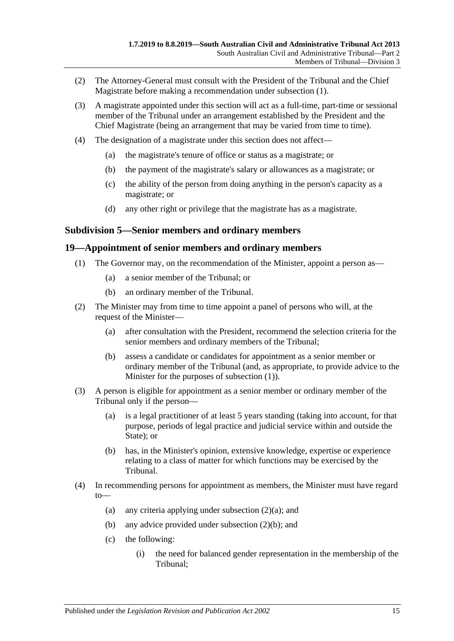- (2) The Attorney-General must consult with the President of the Tribunal and the Chief Magistrate before making a recommendation under [subsection](#page-13-5) (1).
- (3) A magistrate appointed under this section will act as a full-time, part-time or sessional member of the Tribunal under an arrangement established by the President and the Chief Magistrate (being an arrangement that may be varied from time to time).
- (4) The designation of a magistrate under this section does not affect—
	- (a) the magistrate's tenure of office or status as a magistrate; or
	- (b) the payment of the magistrate's salary or allowances as a magistrate; or
	- (c) the ability of the person from doing anything in the person's capacity as a magistrate; or
	- (d) any other right or privilege that the magistrate has as a magistrate.

#### <span id="page-14-0"></span>**Subdivision 5—Senior members and ordinary members**

#### <span id="page-14-2"></span><span id="page-14-1"></span>**19—Appointment of senior members and ordinary members**

- (1) The Governor may, on the recommendation of the Minister, appoint a person as—
	- (a) a senior member of the Tribunal; or
	- (b) an ordinary member of the Tribunal.
- <span id="page-14-5"></span><span id="page-14-3"></span>(2) The Minister may from time to time appoint a panel of persons who will, at the request of the Minister—
	- (a) after consultation with the President, recommend the selection criteria for the senior members and ordinary members of the Tribunal;
	- (b) assess a candidate or candidates for appointment as a senior member or ordinary member of the Tribunal (and, as appropriate, to provide advice to the Minister for the purposes of [subsection](#page-14-2) (1)).
- <span id="page-14-4"></span>(3) A person is eligible for appointment as a senior member or ordinary member of the Tribunal only if the person—
	- (a) is a legal practitioner of at least 5 years standing (taking into account, for that purpose, periods of legal practice and judicial service within and outside the State); or
	- (b) has, in the Minister's opinion, extensive knowledge, expertise or experience relating to a class of matter for which functions may be exercised by the Tribunal.
- (4) In recommending persons for appointment as members, the Minister must have regard to
	- (a) any criteria applying under [subsection](#page-14-3)  $(2)(a)$ ; and
	- (b) any advice provided under [subsection](#page-14-4) (2)(b); and
	- (c) the following:
		- (i) the need for balanced gender representation in the membership of the Tribunal;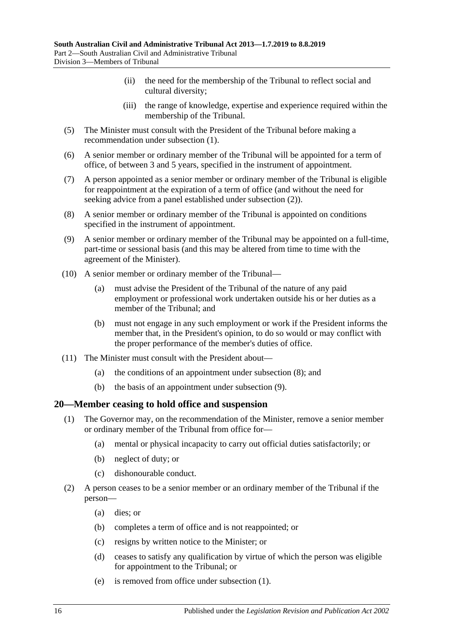- (ii) the need for the membership of the Tribunal to reflect social and cultural diversity;
- (iii) the range of knowledge, expertise and experience required within the membership of the Tribunal.
- (5) The Minister must consult with the President of the Tribunal before making a recommendation under [subsection](#page-14-2) (1).
- (6) A senior member or ordinary member of the Tribunal will be appointed for a term of office, of between 3 and 5 years, specified in the instrument of appointment.
- (7) A person appointed as a senior member or ordinary member of the Tribunal is eligible for reappointment at the expiration of a term of office (and without the need for seeking advice from a panel established under [subsection](#page-14-5) (2)).
- <span id="page-15-1"></span>(8) A senior member or ordinary member of the Tribunal is appointed on conditions specified in the instrument of appointment.
- <span id="page-15-2"></span>(9) A senior member or ordinary member of the Tribunal may be appointed on a full-time, part-time or sessional basis (and this may be altered from time to time with the agreement of the Minister).
- (10) A senior member or ordinary member of the Tribunal—
	- (a) must advise the President of the Tribunal of the nature of any paid employment or professional work undertaken outside his or her duties as a member of the Tribunal; and
	- (b) must not engage in any such employment or work if the President informs the member that, in the President's opinion, to do so would or may conflict with the proper performance of the member's duties of office.
- (11) The Minister must consult with the President about—
	- (a) the conditions of an appointment under [subsection](#page-15-1) (8); and
	- (b) the basis of an appointment under [subsection](#page-15-2) (9).

#### <span id="page-15-3"></span><span id="page-15-0"></span>**20—Member ceasing to hold office and suspension**

- (1) The Governor may, on the recommendation of the Minister, remove a senior member or ordinary member of the Tribunal from office for—
	- (a) mental or physical incapacity to carry out official duties satisfactorily; or
	- (b) neglect of duty; or
	- (c) dishonourable conduct.
- (2) A person ceases to be a senior member or an ordinary member of the Tribunal if the person—
	- (a) dies; or
	- (b) completes a term of office and is not reappointed; or
	- (c) resigns by written notice to the Minister; or
	- (d) ceases to satisfy any qualification by virtue of which the person was eligible for appointment to the Tribunal; or
	- (e) is removed from office under [subsection](#page-15-3) (1).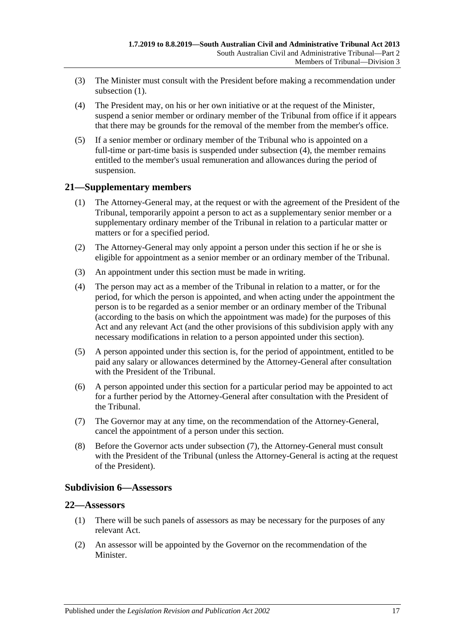- (3) The Minister must consult with the President before making a recommendation under [subsection](#page-15-3) (1).
- <span id="page-16-3"></span>(4) The President may, on his or her own initiative or at the request of the Minister, suspend a senior member or ordinary member of the Tribunal from office if it appears that there may be grounds for the removal of the member from the member's office.
- (5) If a senior member or ordinary member of the Tribunal who is appointed on a full-time or part-time basis is suspended under [subsection](#page-16-3) (4), the member remains entitled to the member's usual remuneration and allowances during the period of suspension.

## <span id="page-16-0"></span>**21—Supplementary members**

- (1) The Attorney-General may, at the request or with the agreement of the President of the Tribunal, temporarily appoint a person to act as a supplementary senior member or a supplementary ordinary member of the Tribunal in relation to a particular matter or matters or for a specified period.
- (2) The Attorney-General may only appoint a person under this section if he or she is eligible for appointment as a senior member or an ordinary member of the Tribunal.
- (3) An appointment under this section must be made in writing.
- (4) The person may act as a member of the Tribunal in relation to a matter, or for the period, for which the person is appointed, and when acting under the appointment the person is to be regarded as a senior member or an ordinary member of the Tribunal (according to the basis on which the appointment was made) for the purposes of this Act and any relevant Act (and the other provisions of this subdivision apply with any necessary modifications in relation to a person appointed under this section).
- (5) A person appointed under this section is, for the period of appointment, entitled to be paid any salary or allowances determined by the Attorney-General after consultation with the President of the Tribunal.
- (6) A person appointed under this section for a particular period may be appointed to act for a further period by the Attorney-General after consultation with the President of the Tribunal.
- <span id="page-16-4"></span>(7) The Governor may at any time, on the recommendation of the Attorney-General, cancel the appointment of a person under this section.
- (8) Before the Governor acts under [subsection](#page-16-4) (7), the Attorney-General must consult with the President of the Tribunal (unless the Attorney-General is acting at the request of the President).

#### <span id="page-16-1"></span>**Subdivision 6—Assessors**

## <span id="page-16-2"></span>**22—Assessors**

- (1) There will be such panels of assessors as may be necessary for the purposes of any relevant Act.
- <span id="page-16-5"></span>(2) An assessor will be appointed by the Governor on the recommendation of the Minister.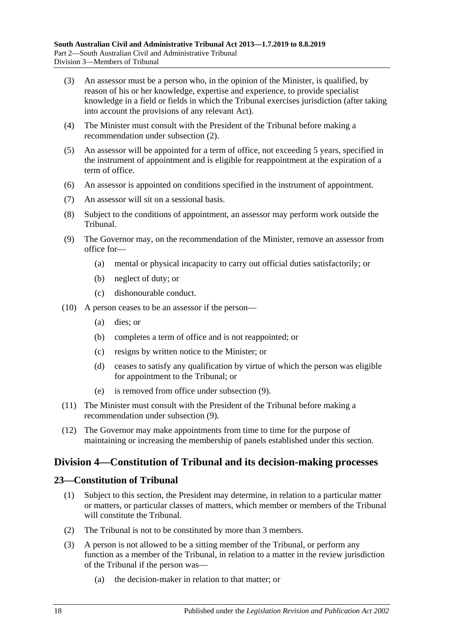- (3) An assessor must be a person who, in the opinion of the Minister, is qualified, by reason of his or her knowledge, expertise and experience, to provide specialist knowledge in a field or fields in which the Tribunal exercises jurisdiction (after taking into account the provisions of any relevant Act).
- (4) The Minister must consult with the President of the Tribunal before making a recommendation under [subsection](#page-16-5) (2).
- (5) An assessor will be appointed for a term of office, not exceeding 5 years, specified in the instrument of appointment and is eligible for reappointment at the expiration of a term of office.
- (6) An assessor is appointed on conditions specified in the instrument of appointment.
- (7) An assessor will sit on a sessional basis.
- (8) Subject to the conditions of appointment, an assessor may perform work outside the Tribunal.
- <span id="page-17-2"></span>(9) The Governor may, on the recommendation of the Minister, remove an assessor from office for—
	- (a) mental or physical incapacity to carry out official duties satisfactorily; or
	- (b) neglect of duty; or
	- (c) dishonourable conduct.
- (10) A person ceases to be an assessor if the person—
	- (a) dies; or
	- (b) completes a term of office and is not reappointed; or
	- (c) resigns by written notice to the Minister; or
	- (d) ceases to satisfy any qualification by virtue of which the person was eligible for appointment to the Tribunal; or
	- (e) is removed from office under [subsection](#page-17-2) (9).
- (11) The Minister must consult with the President of the Tribunal before making a recommendation under [subsection](#page-17-2) (9).
- (12) The Governor may make appointments from time to time for the purpose of maintaining or increasing the membership of panels established under this section.

# <span id="page-17-0"></span>**Division 4—Constitution of Tribunal and its decision-making processes**

#### <span id="page-17-1"></span>**23—Constitution of Tribunal**

- (1) Subject to this section, the President may determine, in relation to a particular matter or matters, or particular classes of matters, which member or members of the Tribunal will constitute the Tribunal.
- (2) The Tribunal is not to be constituted by more than 3 members.
- (3) A person is not allowed to be a sitting member of the Tribunal, or perform any function as a member of the Tribunal, in relation to a matter in the review jurisdiction of the Tribunal if the person was—
	- (a) the decision-maker in relation to that matter; or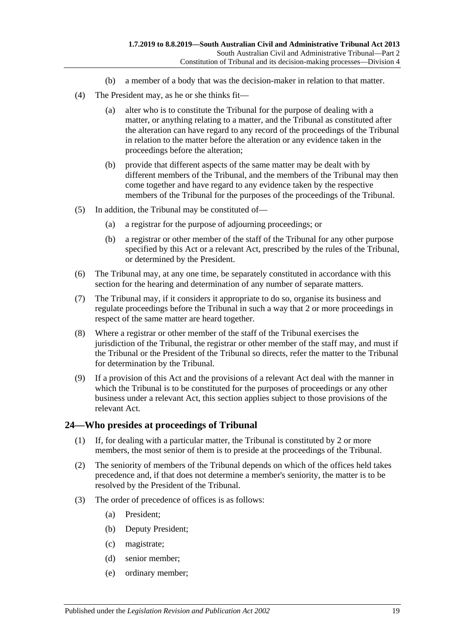- (b) a member of a body that was the decision-maker in relation to that matter.
- (4) The President may, as he or she thinks fit—
	- (a) alter who is to constitute the Tribunal for the purpose of dealing with a matter, or anything relating to a matter, and the Tribunal as constituted after the alteration can have regard to any record of the proceedings of the Tribunal in relation to the matter before the alteration or any evidence taken in the proceedings before the alteration;
	- (b) provide that different aspects of the same matter may be dealt with by different members of the Tribunal, and the members of the Tribunal may then come together and have regard to any evidence taken by the respective members of the Tribunal for the purposes of the proceedings of the Tribunal.
- (5) In addition, the Tribunal may be constituted of—
	- (a) a registrar for the purpose of adjourning proceedings; or
	- (b) a registrar or other member of the staff of the Tribunal for any other purpose specified by this Act or a relevant Act, prescribed by the rules of the Tribunal, or determined by the President.
- (6) The Tribunal may, at any one time, be separately constituted in accordance with this section for the hearing and determination of any number of separate matters.
- (7) The Tribunal may, if it considers it appropriate to do so, organise its business and regulate proceedings before the Tribunal in such a way that 2 or more proceedings in respect of the same matter are heard together.
- (8) Where a registrar or other member of the staff of the Tribunal exercises the jurisdiction of the Tribunal, the registrar or other member of the staff may, and must if the Tribunal or the President of the Tribunal so directs, refer the matter to the Tribunal for determination by the Tribunal.
- (9) If a provision of this Act and the provisions of a relevant Act deal with the manner in which the Tribunal is to be constituted for the purposes of proceedings or any other business under a relevant Act, this section applies subject to those provisions of the relevant Act.

#### <span id="page-18-0"></span>**24—Who presides at proceedings of Tribunal**

- (1) If, for dealing with a particular matter, the Tribunal is constituted by 2 or more members, the most senior of them is to preside at the proceedings of the Tribunal.
- (2) The seniority of members of the Tribunal depends on which of the offices held takes precedence and, if that does not determine a member's seniority, the matter is to be resolved by the President of the Tribunal.
- (3) The order of precedence of offices is as follows:
	- (a) President;
	- (b) Deputy President;
	- (c) magistrate;
	- (d) senior member;
	- (e) ordinary member;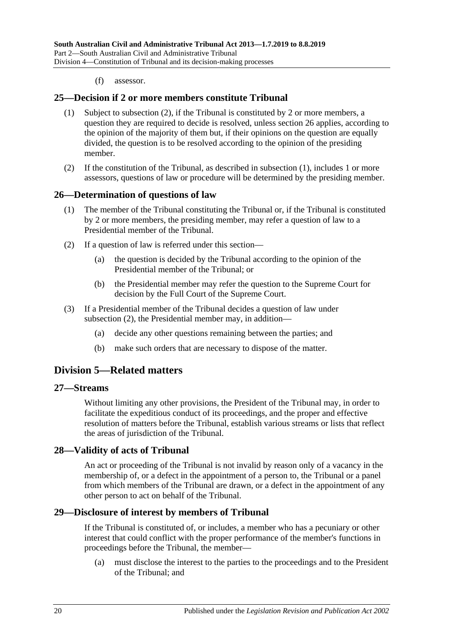(f) assessor.

#### <span id="page-19-7"></span><span id="page-19-0"></span>**25—Decision if 2 or more members constitute Tribunal**

- (1) Subject to [subsection](#page-19-6) (2), if the Tribunal is constituted by 2 or more members, a question they are required to decide is resolved, unless [section](#page-19-1) 26 applies, according to the opinion of the majority of them but, if their opinions on the question are equally divided, the question is to be resolved according to the opinion of the presiding member.
- <span id="page-19-6"></span>(2) If the constitution of the Tribunal, as described in [subsection](#page-19-7) (1), includes 1 or more assessors, questions of law or procedure will be determined by the presiding member.

#### <span id="page-19-1"></span>**26—Determination of questions of law**

- (1) The member of the Tribunal constituting the Tribunal or, if the Tribunal is constituted by 2 or more members, the presiding member, may refer a question of law to a Presidential member of the Tribunal.
- <span id="page-19-8"></span>(2) If a question of law is referred under this section—
	- (a) the question is decided by the Tribunal according to the opinion of the Presidential member of the Tribunal; or
	- (b) the Presidential member may refer the question to the Supreme Court for decision by the Full Court of the Supreme Court.
- (3) If a Presidential member of the Tribunal decides a question of law under [subsection](#page-19-8) (2), the Presidential member may, in addition—
	- (a) decide any other questions remaining between the parties; and
	- (b) make such orders that are necessary to dispose of the matter.

# <span id="page-19-2"></span>**Division 5—Related matters**

#### <span id="page-19-3"></span>**27—Streams**

Without limiting any other provisions, the President of the Tribunal may, in order to facilitate the expeditious conduct of its proceedings, and the proper and effective resolution of matters before the Tribunal, establish various streams or lists that reflect the areas of jurisdiction of the Tribunal.

#### <span id="page-19-4"></span>**28—Validity of acts of Tribunal**

An act or proceeding of the Tribunal is not invalid by reason only of a vacancy in the membership of, or a defect in the appointment of a person to, the Tribunal or a panel from which members of the Tribunal are drawn, or a defect in the appointment of any other person to act on behalf of the Tribunal.

#### <span id="page-19-5"></span>**29—Disclosure of interest by members of Tribunal**

If the Tribunal is constituted of, or includes, a member who has a pecuniary or other interest that could conflict with the proper performance of the member's functions in proceedings before the Tribunal, the member—

(a) must disclose the interest to the parties to the proceedings and to the President of the Tribunal; and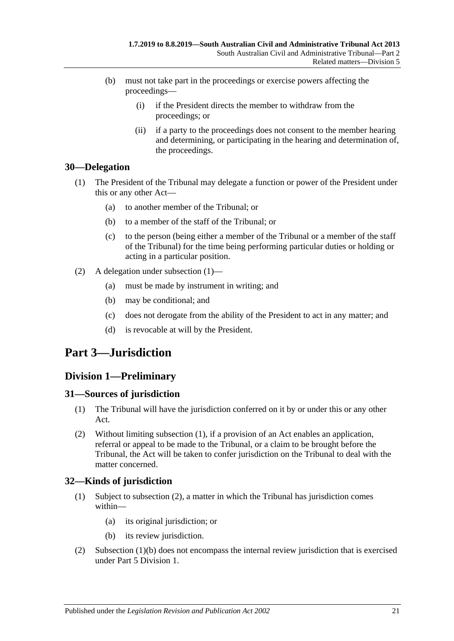- (b) must not take part in the proceedings or exercise powers affecting the proceedings—
	- (i) if the President directs the member to withdraw from the proceedings; or
	- (ii) if a party to the proceedings does not consent to the member hearing and determining, or participating in the hearing and determination of, the proceedings.

## <span id="page-20-5"></span><span id="page-20-0"></span>**30—Delegation**

- (1) The President of the Tribunal may delegate a function or power of the President under this or any other Act—
	- (a) to another member of the Tribunal; or
	- (b) to a member of the staff of the Tribunal; or
	- (c) to the person (being either a member of the Tribunal or a member of the staff of the Tribunal) for the time being performing particular duties or holding or acting in a particular position.
- (2) A delegation under [subsection](#page-20-5) (1)—
	- (a) must be made by instrument in writing; and
	- (b) may be conditional; and
	- (c) does not derogate from the ability of the President to act in any matter; and
	- (d) is revocable at will by the President.

# <span id="page-20-1"></span>**Part 3—Jurisdiction**

# <span id="page-20-2"></span>**Division 1—Preliminary**

## <span id="page-20-6"></span><span id="page-20-3"></span>**31—Sources of jurisdiction**

- (1) The Tribunal will have the jurisdiction conferred on it by or under this or any other Act.
- (2) Without limiting [subsection](#page-20-6) (1), if a provision of an Act enables an application, referral or appeal to be made to the Tribunal, or a claim to be brought before the Tribunal, the Act will be taken to confer jurisdiction on the Tribunal to deal with the matter concerned.

# <span id="page-20-4"></span>**32—Kinds of jurisdiction**

- (1) Subject to [subsection](#page-20-7) (2), a matter in which the Tribunal has jurisdiction comes within—
	- (a) its original jurisdiction; or
	- (b) its review jurisdiction.
- <span id="page-20-8"></span><span id="page-20-7"></span>(2) [Subsection](#page-20-8) (1)(b) does not encompass the internal review jurisdiction that is exercised under Part [5 Division](#page-41-5) 1.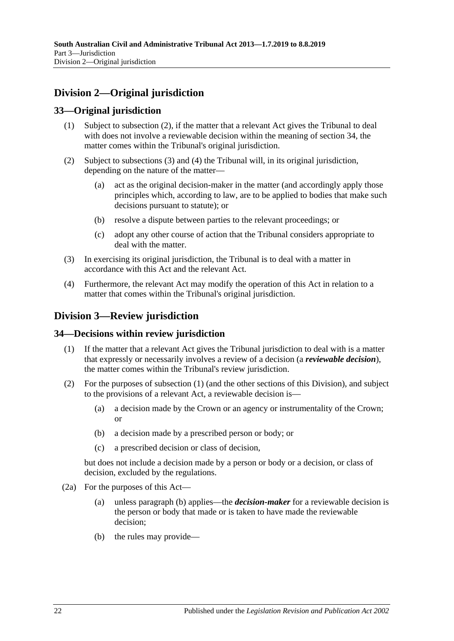# <span id="page-21-0"></span>**Division 2—Original jurisdiction**

# <span id="page-21-1"></span>**33—Original jurisdiction**

- (1) Subject to subsection (2), if the matter that a relevant Act gives the Tribunal to deal with does not involve a reviewable decision within the meaning of [section](#page-21-3) 34, the matter comes within the Tribunal's original jurisdiction.
- (2) Subject to [subsections](#page-21-4) (3) and [\(4\)](#page-21-5) the Tribunal will, in its original jurisdiction, depending on the nature of the matter—
	- (a) act as the original decision-maker in the matter (and accordingly apply those principles which, according to law, are to be applied to bodies that make such decisions pursuant to statute); or
	- (b) resolve a dispute between parties to the relevant proceedings; or
	- (c) adopt any other course of action that the Tribunal considers appropriate to deal with the matter.
- <span id="page-21-4"></span>(3) In exercising its original jurisdiction, the Tribunal is to deal with a matter in accordance with this Act and the relevant Act.
- <span id="page-21-5"></span>(4) Furthermore, the relevant Act may modify the operation of this Act in relation to a matter that comes within the Tribunal's original jurisdiction.

# <span id="page-21-2"></span>**Division 3—Review jurisdiction**

## <span id="page-21-6"></span><span id="page-21-3"></span>**34—Decisions within review jurisdiction**

- (1) If the matter that a relevant Act gives the Tribunal jurisdiction to deal with is a matter that expressly or necessarily involves a review of a decision (a *reviewable decision*), the matter comes within the Tribunal's review jurisdiction.
- (2) For the purposes of [subsection](#page-21-6) (1) (and the other sections of this Division), and subject to the provisions of a relevant Act, a reviewable decision is—
	- (a) a decision made by the Crown or an agency or instrumentality of the Crown; or
	- (b) a decision made by a prescribed person or body; or
	- (c) a prescribed decision or class of decision,

but does not include a decision made by a person or body or a decision, or class of decision, excluded by the regulations.

- <span id="page-21-8"></span><span id="page-21-7"></span>(2a) For the purposes of this Act—
	- (a) unless [paragraph](#page-21-7) (b) applies—the *decision-maker* for a reviewable decision is the person or body that made or is taken to have made the reviewable decision;
	- (b) the rules may provide—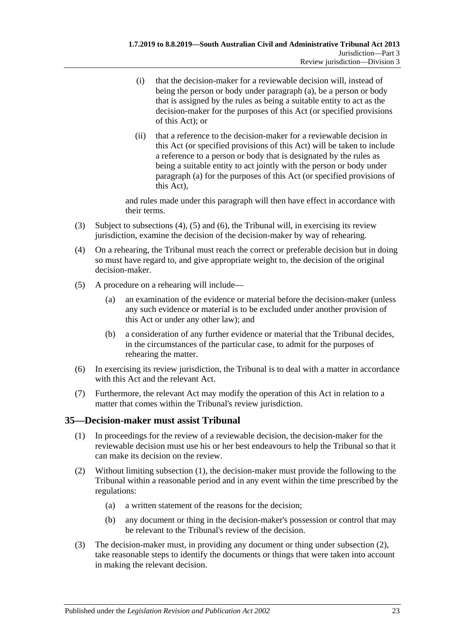- (i) that the decision-maker for a reviewable decision will, instead of being the person or body under [paragraph](#page-21-8) (a), be a person or body that is assigned by the rules as being a suitable entity to act as the decision-maker for the purposes of this Act (or specified provisions of this Act); or
- (ii) that a reference to the decision-maker for a reviewable decision in this Act (or specified provisions of this Act) will be taken to include a reference to a person or body that is designated by the rules as being a suitable entity to act jointly with the person or body under [paragraph](#page-21-8) (a) for the purposes of this Act (or specified provisions of this Act),

and rules made under this paragraph will then have effect in accordance with their terms.

- (3) Subject to [subsections \(4\),](#page-22-1) [\(5\)](#page-22-2) and [\(6\),](#page-22-3) the Tribunal will, in exercising its review jurisdiction, examine the decision of the decision-maker by way of rehearing.
- <span id="page-22-1"></span>(4) On a rehearing, the Tribunal must reach the correct or preferable decision but in doing so must have regard to, and give appropriate weight to, the decision of the original decision-maker.
- <span id="page-22-2"></span>(5) A procedure on a rehearing will include—
	- (a) an examination of the evidence or material before the decision-maker (unless any such evidence or material is to be excluded under another provision of this Act or under any other law); and
	- (b) a consideration of any further evidence or material that the Tribunal decides, in the circumstances of the particular case, to admit for the purposes of rehearing the matter.
- <span id="page-22-3"></span>(6) In exercising its review jurisdiction, the Tribunal is to deal with a matter in accordance with this Act and the relevant Act.
- (7) Furthermore, the relevant Act may modify the operation of this Act in relation to a matter that comes within the Tribunal's review jurisdiction.

## <span id="page-22-4"></span><span id="page-22-0"></span>**35—Decision-maker must assist Tribunal**

- (1) In proceedings for the review of a reviewable decision, the decision-maker for the reviewable decision must use his or her best endeavours to help the Tribunal so that it can make its decision on the review.
- <span id="page-22-6"></span><span id="page-22-5"></span>(2) Without limiting [subsection](#page-22-4) (1), the decision-maker must provide the following to the Tribunal within a reasonable period and in any event within the time prescribed by the regulations:
	- (a) a written statement of the reasons for the decision;
	- (b) any document or thing in the decision-maker's possession or control that may be relevant to the Tribunal's review of the decision.
- (3) The decision-maker must, in providing any document or thing under [subsection](#page-22-5) (2), take reasonable steps to identify the documents or things that were taken into account in making the relevant decision.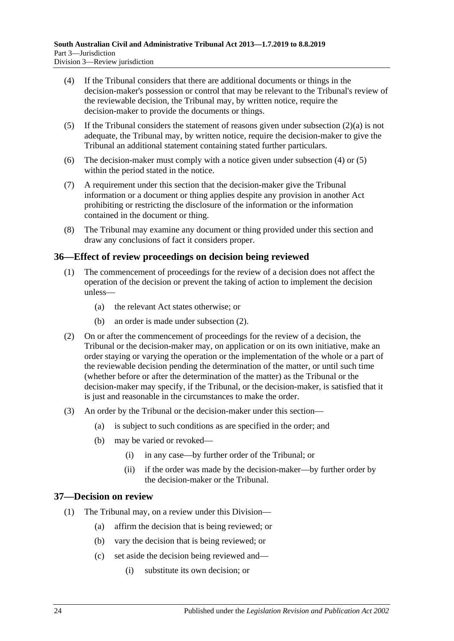- <span id="page-23-2"></span>(4) If the Tribunal considers that there are additional documents or things in the decision-maker's possession or control that may be relevant to the Tribunal's review of the reviewable decision, the Tribunal may, by written notice, require the decision-maker to provide the documents or things.
- <span id="page-23-3"></span>(5) If the Tribunal considers the statement of reasons given under [subsection](#page-22-6)  $(2)(a)$  is not adequate, the Tribunal may, by written notice, require the decision-maker to give the Tribunal an additional statement containing stated further particulars.
- (6) The decision-maker must comply with a notice given under [subsection](#page-23-2) (4) or [\(5\)](#page-23-3) within the period stated in the notice.
- (7) A requirement under this section that the decision-maker give the Tribunal information or a document or thing applies despite any provision in another Act prohibiting or restricting the disclosure of the information or the information contained in the document or thing.
- (8) The Tribunal may examine any document or thing provided under this section and draw any conclusions of fact it considers proper.

## <span id="page-23-0"></span>**36—Effect of review proceedings on decision being reviewed**

- (1) The commencement of proceedings for the review of a decision does not affect the operation of the decision or prevent the taking of action to implement the decision unless—
	- (a) the relevant Act states otherwise; or
	- (b) an order is made under [subsection](#page-23-4) (2).
- <span id="page-23-4"></span>(2) On or after the commencement of proceedings for the review of a decision, the Tribunal or the decision-maker may, on application or on its own initiative, make an order staying or varying the operation or the implementation of the whole or a part of the reviewable decision pending the determination of the matter, or until such time (whether before or after the determination of the matter) as the Tribunal or the decision-maker may specify, if the Tribunal, or the decision-maker, is satisfied that it is just and reasonable in the circumstances to make the order.
- (3) An order by the Tribunal or the decision-maker under this section—
	- (a) is subject to such conditions as are specified in the order; and
	- (b) may be varied or revoked—
		- (i) in any case—by further order of the Tribunal; or
		- (ii) if the order was made by the decision-maker—by further order by the decision-maker or the Tribunal.

## <span id="page-23-1"></span>**37—Decision on review**

- (1) The Tribunal may, on a review under this Division—
	- (a) affirm the decision that is being reviewed; or
	- (b) vary the decision that is being reviewed; or
	- (c) set aside the decision being reviewed and—
		- (i) substitute its own decision; or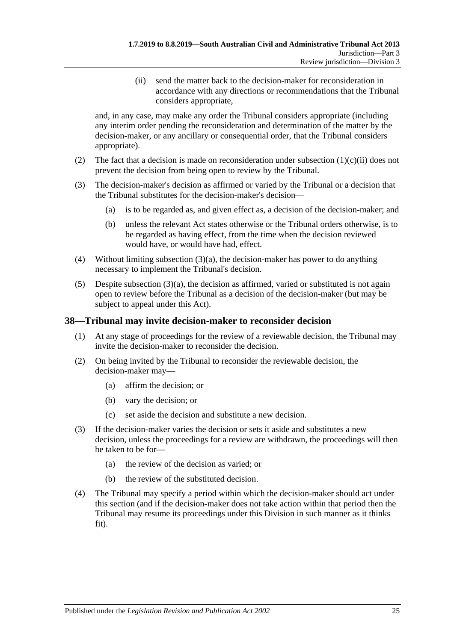(ii) send the matter back to the decision-maker for reconsideration in accordance with any directions or recommendations that the Tribunal considers appropriate,

<span id="page-24-1"></span>and, in any case, may make any order the Tribunal considers appropriate (including any interim order pending the reconsideration and determination of the matter by the decision-maker, or any ancillary or consequential order, that the Tribunal considers appropriate).

- (2) The fact that a decision is made on reconsideration under [subsection](#page-24-1)  $(1)(c)(ii)$  does not prevent the decision from being open to review by the Tribunal.
- <span id="page-24-2"></span>(3) The decision-maker's decision as affirmed or varied by the Tribunal or a decision that the Tribunal substitutes for the decision-maker's decision—
	- (a) is to be regarded as, and given effect as, a decision of the decision-maker; and
	- (b) unless the relevant Act states otherwise or the Tribunal orders otherwise, is to be regarded as having effect, from the time when the decision reviewed would have, or would have had, effect.
- (4) Without limiting [subsection](#page-24-2) (3)(a), the decision-maker has power to do anything necessary to implement the Tribunal's decision.
- $(5)$  Despite [subsection](#page-24-2)  $(3)(a)$ , the decision as affirmed, varied or substituted is not again open to review before the Tribunal as a decision of the decision-maker (but may be subject to appeal under this Act).

## <span id="page-24-0"></span>**38—Tribunal may invite decision-maker to reconsider decision**

- (1) At any stage of proceedings for the review of a reviewable decision, the Tribunal may invite the decision-maker to reconsider the decision.
- (2) On being invited by the Tribunal to reconsider the reviewable decision, the decision-maker may—
	- (a) affirm the decision; or
	- (b) vary the decision; or
	- (c) set aside the decision and substitute a new decision.
- (3) If the decision-maker varies the decision or sets it aside and substitutes a new decision, unless the proceedings for a review are withdrawn, the proceedings will then be taken to be for—
	- (a) the review of the decision as varied; or
	- (b) the review of the substituted decision.
- (4) The Tribunal may specify a period within which the decision-maker should act under this section (and if the decision-maker does not take action within that period then the Tribunal may resume its proceedings under this Division in such manner as it thinks fit).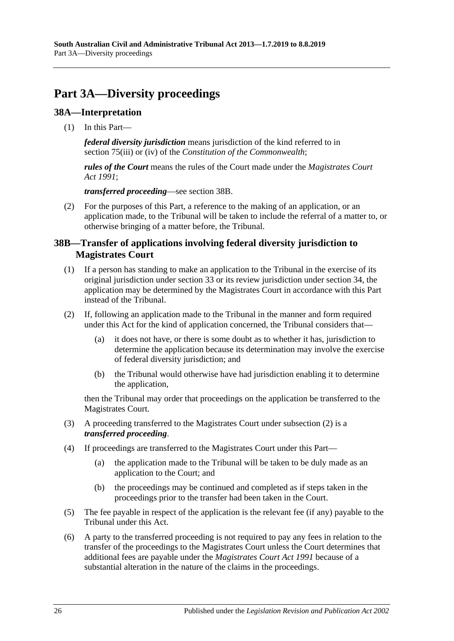# <span id="page-25-0"></span>**Part 3A—Diversity proceedings**

## <span id="page-25-1"></span>**38A—Interpretation**

(1) In this Part—

*federal diversity jurisdiction* means jurisdiction of the kind referred to in section 75(iii) or (iv) of the *Constitution of the Commonwealth*;

*rules of the Court* means the rules of the Court made under the *[Magistrates Court](http://www.legislation.sa.gov.au/index.aspx?action=legref&type=act&legtitle=Magistrates%20Court%20Act%201991)  Act [1991](http://www.legislation.sa.gov.au/index.aspx?action=legref&type=act&legtitle=Magistrates%20Court%20Act%201991)*;

*transferred proceeding*—see [section](#page-25-2) 38B.

(2) For the purposes of this Part, a reference to the making of an application, or an application made, to the Tribunal will be taken to include the referral of a matter to, or otherwise bringing of a matter before, the Tribunal.

## <span id="page-25-2"></span>**38B—Transfer of applications involving federal diversity jurisdiction to Magistrates Court**

- (1) If a person has standing to make an application to the Tribunal in the exercise of its original jurisdiction under [section](#page-21-1) 33 or its review jurisdiction under [section](#page-21-3) 34, the application may be determined by the Magistrates Court in accordance with this Part instead of the Tribunal.
- <span id="page-25-3"></span>(2) If, following an application made to the Tribunal in the manner and form required under this Act for the kind of application concerned, the Tribunal considers that—
	- (a) it does not have, or there is some doubt as to whether it has, jurisdiction to determine the application because its determination may involve the exercise of federal diversity jurisdiction; and
	- (b) the Tribunal would otherwise have had jurisdiction enabling it to determine the application,

then the Tribunal may order that proceedings on the application be transferred to the Magistrates Court.

- (3) A proceeding transferred to the Magistrates Court under [subsection](#page-25-3) (2) is a *transferred proceeding*.
- (4) If proceedings are transferred to the Magistrates Court under this Part—
	- (a) the application made to the Tribunal will be taken to be duly made as an application to the Court; and
	- (b) the proceedings may be continued and completed as if steps taken in the proceedings prior to the transfer had been taken in the Court.
- (5) The fee payable in respect of the application is the relevant fee (if any) payable to the Tribunal under this Act.
- (6) A party to the transferred proceeding is not required to pay any fees in relation to the transfer of the proceedings to the Magistrates Court unless the Court determines that additional fees are payable under the *[Magistrates Court Act](http://www.legislation.sa.gov.au/index.aspx?action=legref&type=act&legtitle=Magistrates%20Court%20Act%201991) 1991* because of a substantial alteration in the nature of the claims in the proceedings.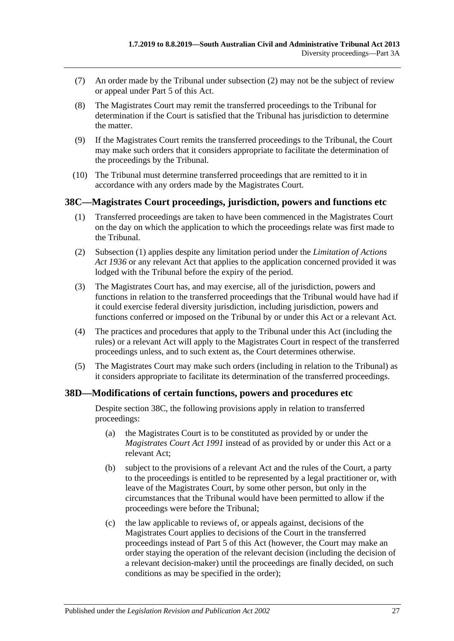- (7) An order made by the Tribunal under [subsection](#page-25-3) (2) may not be the subject of review or appeal under [Part](#page-41-4) 5 of this Act.
- (8) The Magistrates Court may remit the transferred proceedings to the Tribunal for determination if the Court is satisfied that the Tribunal has jurisdiction to determine the matter.
- (9) If the Magistrates Court remits the transferred proceedings to the Tribunal, the Court may make such orders that it considers appropriate to facilitate the determination of the proceedings by the Tribunal.
- (10) The Tribunal must determine transferred proceedings that are remitted to it in accordance with any orders made by the Magistrates Court.

#### <span id="page-26-2"></span><span id="page-26-0"></span>**38C—Magistrates Court proceedings, jurisdiction, powers and functions etc**

- (1) Transferred proceedings are taken to have been commenced in the Magistrates Court on the day on which the application to which the proceedings relate was first made to the Tribunal.
- (2) [Subsection](#page-26-2) (1) applies despite any limitation period under the *[Limitation of Actions](http://www.legislation.sa.gov.au/index.aspx?action=legref&type=act&legtitle=Limitation%20of%20Actions%20Act%201936)  Act [1936](http://www.legislation.sa.gov.au/index.aspx?action=legref&type=act&legtitle=Limitation%20of%20Actions%20Act%201936)* or any relevant Act that applies to the application concerned provided it was lodged with the Tribunal before the expiry of the period.
- (3) The Magistrates Court has, and may exercise, all of the jurisdiction, powers and functions in relation to the transferred proceedings that the Tribunal would have had if it could exercise federal diversity jurisdiction, including jurisdiction, powers and functions conferred or imposed on the Tribunal by or under this Act or a relevant Act.
- (4) The practices and procedures that apply to the Tribunal under this Act (including the rules) or a relevant Act will apply to the Magistrates Court in respect of the transferred proceedings unless, and to such extent as, the Court determines otherwise.
- (5) The Magistrates Court may make such orders (including in relation to the Tribunal) as it considers appropriate to facilitate its determination of the transferred proceedings.

## <span id="page-26-1"></span>**38D—Modifications of certain functions, powers and procedures etc**

Despite [section](#page-26-0) 38C, the following provisions apply in relation to transferred proceedings:

- (a) the Magistrates Court is to be constituted as provided by or under the *[Magistrates Court Act](http://www.legislation.sa.gov.au/index.aspx?action=legref&type=act&legtitle=Magistrates%20Court%20Act%201991) 1991* instead of as provided by or under this Act or a relevant Act;
- (b) subject to the provisions of a relevant Act and the rules of the Court, a party to the proceedings is entitled to be represented by a legal practitioner or, with leave of the Magistrates Court, by some other person, but only in the circumstances that the Tribunal would have been permitted to allow if the proceedings were before the Tribunal;
- (c) the law applicable to reviews of, or appeals against, decisions of the Magistrates Court applies to decisions of the Court in the transferred proceedings instead of [Part](#page-41-4) 5 of this Act (however, the Court may make an order staying the operation of the relevant decision (including the decision of a relevant decision-maker) until the proceedings are finally decided, on such conditions as may be specified in the order);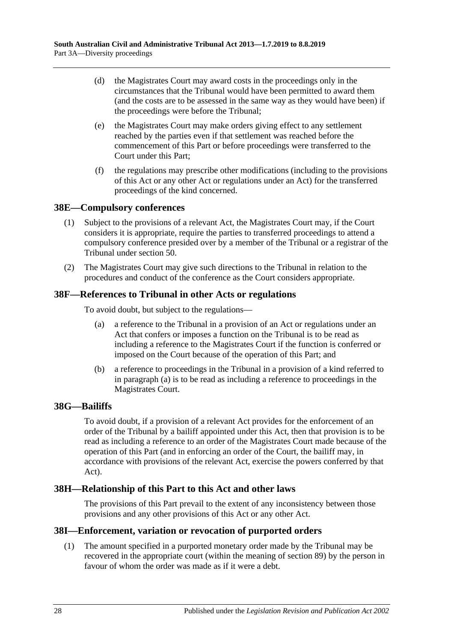- (d) the Magistrates Court may award costs in the proceedings only in the circumstances that the Tribunal would have been permitted to award them (and the costs are to be assessed in the same way as they would have been) if the proceedings were before the Tribunal;
- (e) the Magistrates Court may make orders giving effect to any settlement reached by the parties even if that settlement was reached before the commencement of this Part or before proceedings were transferred to the Court under this Part;
- (f) the regulations may prescribe other modifications (including to the provisions of this Act or any other Act or regulations under an Act) for the transferred proceedings of the kind concerned.

## <span id="page-27-0"></span>**38E—Compulsory conferences**

- (1) Subject to the provisions of a relevant Act, the Magistrates Court may, if the Court considers it is appropriate, require the parties to transferred proceedings to attend a compulsory conference presided over by a member of the Tribunal or a registrar of the Tribunal under [section](#page-33-1) 50.
- (2) The Magistrates Court may give such directions to the Tribunal in relation to the procedures and conduct of the conference as the Court considers appropriate.

#### <span id="page-27-5"></span><span id="page-27-1"></span>**38F—References to Tribunal in other Acts or regulations**

To avoid doubt, but subject to the regulations—

- (a) a reference to the Tribunal in a provision of an Act or regulations under an Act that confers or imposes a function on the Tribunal is to be read as including a reference to the Magistrates Court if the function is conferred or imposed on the Court because of the operation of this Part; and
- (b) a reference to proceedings in the Tribunal in a provision of a kind referred to in [paragraph](#page-27-5) (a) is to be read as including a reference to proceedings in the Magistrates Court.

#### <span id="page-27-2"></span>**38G—Bailiffs**

To avoid doubt, if a provision of a relevant Act provides for the enforcement of an order of the Tribunal by a bailiff appointed under this Act, then that provision is to be read as including a reference to an order of the Magistrates Court made because of the operation of this Part (and in enforcing an order of the Court, the bailiff may, in accordance with provisions of the relevant Act, exercise the powers conferred by that Act).

## <span id="page-27-3"></span>**38H—Relationship of this Part to this Act and other laws**

The provisions of this Part prevail to the extent of any inconsistency between those provisions and any other provisions of this Act or any other Act.

#### <span id="page-27-4"></span>**38I—Enforcement, variation or revocation of purported orders**

(1) The amount specified in a purported monetary order made by the Tribunal may be recovered in the appropriate court (within the meaning of [section](#page-49-1) 89) by the person in favour of whom the order was made as if it were a debt.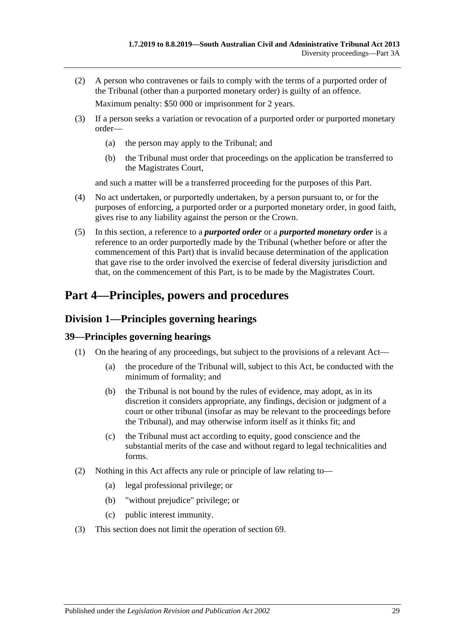(2) A person who contravenes or fails to comply with the terms of a purported order of the Tribunal (other than a purported monetary order) is guilty of an offence.

Maximum penalty: \$50 000 or imprisonment for 2 years.

- (3) If a person seeks a variation or revocation of a purported order or purported monetary order—
	- (a) the person may apply to the Tribunal; and
	- (b) the Tribunal must order that proceedings on the application be transferred to the Magistrates Court,

and such a matter will be a transferred proceeding for the purposes of this Part.

- (4) No act undertaken, or purportedly undertaken, by a person pursuant to, or for the purposes of enforcing, a purported order or a purported monetary order, in good faith, gives rise to any liability against the person or the Crown.
- (5) In this section, a reference to a *purported order* or a *purported monetary order* is a reference to an order purportedly made by the Tribunal (whether before or after the commencement of this Part) that is invalid because determination of the application that gave rise to the order involved the exercise of federal diversity jurisdiction and that, on the commencement of this Part, is to be made by the Magistrates Court.

# <span id="page-28-0"></span>**Part 4—Principles, powers and procedures**

# <span id="page-28-1"></span>**Division 1—Principles governing hearings**

# <span id="page-28-2"></span>**39—Principles governing hearings**

- (1) On the hearing of any proceedings, but subject to the provisions of a relevant Act—
	- (a) the procedure of the Tribunal will, subject to this Act, be conducted with the minimum of formality; and
	- (b) the Tribunal is not bound by the rules of evidence, may adopt, as in its discretion it considers appropriate, any findings, decision or judgment of a court or other tribunal (insofar as may be relevant to the proceedings before the Tribunal), and may otherwise inform itself as it thinks fit; and
	- (c) the Tribunal must act according to equity, good conscience and the substantial merits of the case and without regard to legal technicalities and forms.
- (2) Nothing in this Act affects any rule or principle of law relating to—
	- (a) legal professional privilege; or
	- (b) "without prejudice" privilege; or
	- (c) public interest immunity.
- (3) This section does not limit the operation of [section](#page-41-3) 69.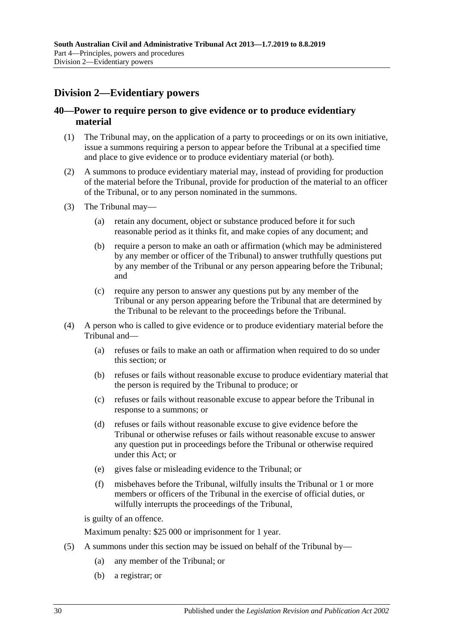# <span id="page-29-0"></span>**Division 2—Evidentiary powers**

## <span id="page-29-1"></span>**40—Power to require person to give evidence or to produce evidentiary material**

- (1) The Tribunal may, on the application of a party to proceedings or on its own initiative, issue a summons requiring a person to appear before the Tribunal at a specified time and place to give evidence or to produce evidentiary material (or both).
- (2) A summons to produce evidentiary material may, instead of providing for production of the material before the Tribunal, provide for production of the material to an officer of the Tribunal, or to any person nominated in the summons.
- (3) The Tribunal may—
	- (a) retain any document, object or substance produced before it for such reasonable period as it thinks fit, and make copies of any document; and
	- (b) require a person to make an oath or affirmation (which may be administered by any member or officer of the Tribunal) to answer truthfully questions put by any member of the Tribunal or any person appearing before the Tribunal; and
	- (c) require any person to answer any questions put by any member of the Tribunal or any person appearing before the Tribunal that are determined by the Tribunal to be relevant to the proceedings before the Tribunal.
- (4) A person who is called to give evidence or to produce evidentiary material before the Tribunal and—
	- (a) refuses or fails to make an oath or affirmation when required to do so under this section; or
	- (b) refuses or fails without reasonable excuse to produce evidentiary material that the person is required by the Tribunal to produce; or
	- (c) refuses or fails without reasonable excuse to appear before the Tribunal in response to a summons; or
	- (d) refuses or fails without reasonable excuse to give evidence before the Tribunal or otherwise refuses or fails without reasonable excuse to answer any question put in proceedings before the Tribunal or otherwise required under this Act; or
	- (e) gives false or misleading evidence to the Tribunal; or
	- (f) misbehaves before the Tribunal, wilfully insults the Tribunal or 1 or more members or officers of the Tribunal in the exercise of official duties, or wilfully interrupts the proceedings of the Tribunal,

is guilty of an offence.

Maximum penalty: \$25 000 or imprisonment for 1 year.

- (5) A summons under this section may be issued on behalf of the Tribunal by—
	- (a) any member of the Tribunal; or
	- (b) a registrar; or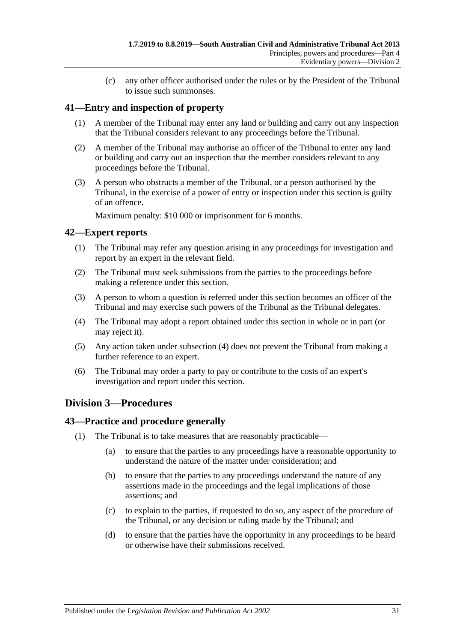(c) any other officer authorised under the rules or by the President of the Tribunal to issue such summonses.

## <span id="page-30-0"></span>**41—Entry and inspection of property**

- (1) A member of the Tribunal may enter any land or building and carry out any inspection that the Tribunal considers relevant to any proceedings before the Tribunal.
- (2) A member of the Tribunal may authorise an officer of the Tribunal to enter any land or building and carry out an inspection that the member considers relevant to any proceedings before the Tribunal.
- (3) A person who obstructs a member of the Tribunal, or a person authorised by the Tribunal, in the exercise of a power of entry or inspection under this section is guilty of an offence.

Maximum penalty: \$10 000 or imprisonment for 6 months.

## <span id="page-30-1"></span>**42—Expert reports**

- (1) The Tribunal may refer any question arising in any proceedings for investigation and report by an expert in the relevant field.
- (2) The Tribunal must seek submissions from the parties to the proceedings before making a reference under this section.
- (3) A person to whom a question is referred under this section becomes an officer of the Tribunal and may exercise such powers of the Tribunal as the Tribunal delegates.
- <span id="page-30-4"></span>(4) The Tribunal may adopt a report obtained under this section in whole or in part (or may reject it).
- (5) Any action taken under [subsection](#page-30-4) (4) does not prevent the Tribunal from making a further reference to an expert.
- (6) The Tribunal may order a party to pay or contribute to the costs of an expert's investigation and report under this section.

# <span id="page-30-2"></span>**Division 3—Procedures**

#### <span id="page-30-3"></span>**43—Practice and procedure generally**

- (1) The Tribunal is to take measures that are reasonably practicable—
	- (a) to ensure that the parties to any proceedings have a reasonable opportunity to understand the nature of the matter under consideration; and
	- (b) to ensure that the parties to any proceedings understand the nature of any assertions made in the proceedings and the legal implications of those assertions; and
	- (c) to explain to the parties, if requested to do so, any aspect of the procedure of the Tribunal, or any decision or ruling made by the Tribunal; and
	- (d) to ensure that the parties have the opportunity in any proceedings to be heard or otherwise have their submissions received.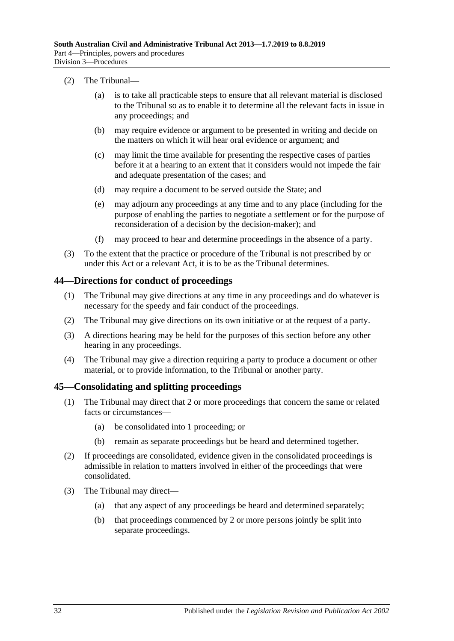#### (2) The Tribunal—

- (a) is to take all practicable steps to ensure that all relevant material is disclosed to the Tribunal so as to enable it to determine all the relevant facts in issue in any proceedings; and
- (b) may require evidence or argument to be presented in writing and decide on the matters on which it will hear oral evidence or argument; and
- (c) may limit the time available for presenting the respective cases of parties before it at a hearing to an extent that it considers would not impede the fair and adequate presentation of the cases; and
- (d) may require a document to be served outside the State; and
- (e) may adjourn any proceedings at any time and to any place (including for the purpose of enabling the parties to negotiate a settlement or for the purpose of reconsideration of a decision by the decision-maker); and
- (f) may proceed to hear and determine proceedings in the absence of a party.
- (3) To the extent that the practice or procedure of the Tribunal is not prescribed by or under this Act or a relevant Act, it is to be as the Tribunal determines.

#### <span id="page-31-0"></span>**44—Directions for conduct of proceedings**

- (1) The Tribunal may give directions at any time in any proceedings and do whatever is necessary for the speedy and fair conduct of the proceedings.
- (2) The Tribunal may give directions on its own initiative or at the request of a party.
- (3) A directions hearing may be held for the purposes of this section before any other hearing in any proceedings.
- (4) The Tribunal may give a direction requiring a party to produce a document or other material, or to provide information, to the Tribunal or another party.

#### <span id="page-31-1"></span>**45—Consolidating and splitting proceedings**

- (1) The Tribunal may direct that 2 or more proceedings that concern the same or related facts or circumstances—
	- (a) be consolidated into 1 proceeding; or
	- (b) remain as separate proceedings but be heard and determined together.
- (2) If proceedings are consolidated, evidence given in the consolidated proceedings is admissible in relation to matters involved in either of the proceedings that were consolidated.
- (3) The Tribunal may direct—
	- (a) that any aspect of any proceedings be heard and determined separately;
	- (b) that proceedings commenced by 2 or more persons jointly be split into separate proceedings.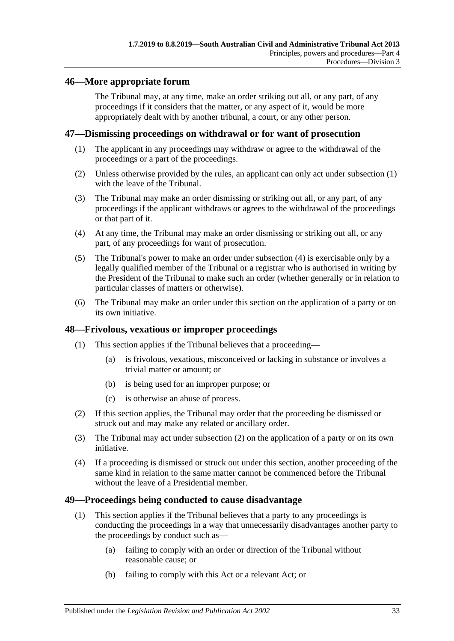## <span id="page-32-0"></span>**46—More appropriate forum**

The Tribunal may, at any time, make an order striking out all, or any part, of any proceedings if it considers that the matter, or any aspect of it, would be more appropriately dealt with by another tribunal, a court, or any other person.

#### <span id="page-32-4"></span><span id="page-32-1"></span>**47—Dismissing proceedings on withdrawal or for want of prosecution**

- (1) The applicant in any proceedings may withdraw or agree to the withdrawal of the proceedings or a part of the proceedings.
- (2) Unless otherwise provided by the rules, an applicant can only act under [subsection](#page-32-4) (1) with the leave of the Tribunal.
- (3) The Tribunal may make an order dismissing or striking out all, or any part, of any proceedings if the applicant withdraws or agrees to the withdrawal of the proceedings or that part of it.
- <span id="page-32-5"></span>(4) At any time, the Tribunal may make an order dismissing or striking out all, or any part, of any proceedings for want of prosecution.
- (5) The Tribunal's power to make an order under [subsection](#page-32-5) (4) is exercisable only by a legally qualified member of the Tribunal or a registrar who is authorised in writing by the President of the Tribunal to make such an order (whether generally or in relation to particular classes of matters or otherwise).
- (6) The Tribunal may make an order under this section on the application of a party or on its own initiative.

#### <span id="page-32-2"></span>**48—Frivolous, vexatious or improper proceedings**

- (1) This section applies if the Tribunal believes that a proceeding—
	- (a) is frivolous, vexatious, misconceived or lacking in substance or involves a trivial matter or amount; or
	- (b) is being used for an improper purpose; or
	- (c) is otherwise an abuse of process.
- <span id="page-32-6"></span>(2) If this section applies, the Tribunal may order that the proceeding be dismissed or struck out and may make any related or ancillary order.
- (3) The Tribunal may act under [subsection](#page-32-6) (2) on the application of a party or on its own initiative.
- (4) If a proceeding is dismissed or struck out under this section, another proceeding of the same kind in relation to the same matter cannot be commenced before the Tribunal without the leave of a Presidential member.

#### <span id="page-32-3"></span>**49—Proceedings being conducted to cause disadvantage**

- <span id="page-32-8"></span><span id="page-32-7"></span>(1) This section applies if the Tribunal believes that a party to any proceedings is conducting the proceedings in a way that unnecessarily disadvantages another party to the proceedings by conduct such as—
	- (a) failing to comply with an order or direction of the Tribunal without reasonable cause; or
	- (b) failing to comply with this Act or a relevant Act; or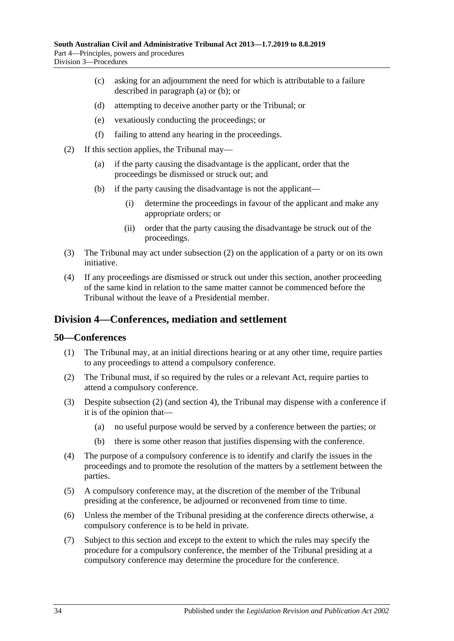- (c) asking for an adjournment the need for which is attributable to a failure described in [paragraph](#page-32-7) (a) or [\(b\);](#page-32-8) or
- (d) attempting to deceive another party or the Tribunal; or
- (e) vexatiously conducting the proceedings; or
- (f) failing to attend any hearing in the proceedings.
- <span id="page-33-2"></span>(2) If this section applies, the Tribunal may—
	- (a) if the party causing the disadvantage is the applicant, order that the proceedings be dismissed or struck out; and
	- (b) if the party causing the disadvantage is not the applicant—
		- (i) determine the proceedings in favour of the applicant and make any appropriate orders; or
		- (ii) order that the party causing the disadvantage be struck out of the proceedings.
- (3) The Tribunal may act under [subsection](#page-33-2) (2) on the application of a party or on its own initiative.
- (4) If any proceedings are dismissed or struck out under this section, another proceeding of the same kind in relation to the same matter cannot be commenced before the Tribunal without the leave of a Presidential member.

## <span id="page-33-0"></span>**Division 4—Conferences, mediation and settlement**

#### <span id="page-33-1"></span>**50—Conferences**

- (1) The Tribunal may, at an initial directions hearing or at any other time, require parties to any proceedings to attend a compulsory conference.
- <span id="page-33-3"></span>(2) The Tribunal must, if so required by the rules or a relevant Act, require parties to attend a compulsory conference.
- (3) Despite [subsection](#page-33-3) (2) (and [section](#page-6-0) 4), the Tribunal may dispense with a conference if it is of the opinion that—
	- (a) no useful purpose would be served by a conference between the parties; or
	- (b) there is some other reason that justifies dispensing with the conference.
- (4) The purpose of a compulsory conference is to identify and clarify the issues in the proceedings and to promote the resolution of the matters by a settlement between the parties.
- (5) A compulsory conference may, at the discretion of the member of the Tribunal presiding at the conference, be adjourned or reconvened from time to time.
- (6) Unless the member of the Tribunal presiding at the conference directs otherwise, a compulsory conference is to be held in private.
- (7) Subject to this section and except to the extent to which the rules may specify the procedure for a compulsory conference, the member of the Tribunal presiding at a compulsory conference may determine the procedure for the conference.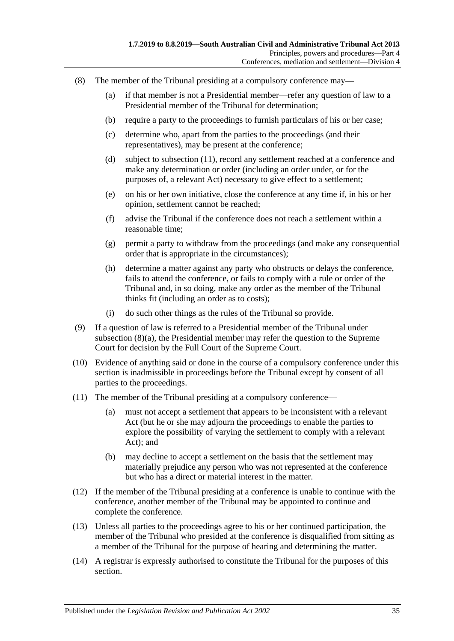- <span id="page-34-1"></span>(8) The member of the Tribunal presiding at a compulsory conference may—
	- (a) if that member is not a Presidential member—refer any question of law to a Presidential member of the Tribunal for determination;
	- (b) require a party to the proceedings to furnish particulars of his or her case;
	- (c) determine who, apart from the parties to the proceedings (and their representatives), may be present at the conference;
	- (d) subject to [subsection](#page-34-0) (11), record any settlement reached at a conference and make any determination or order (including an order under, or for the purposes of, a relevant Act) necessary to give effect to a settlement;
	- (e) on his or her own initiative, close the conference at any time if, in his or her opinion, settlement cannot be reached;
	- (f) advise the Tribunal if the conference does not reach a settlement within a reasonable time;
	- (g) permit a party to withdraw from the proceedings (and make any consequential order that is appropriate in the circumstances);
	- (h) determine a matter against any party who obstructs or delays the conference, fails to attend the conference, or fails to comply with a rule or order of the Tribunal and, in so doing, make any order as the member of the Tribunal thinks fit (including an order as to costs);
	- (i) do such other things as the rules of the Tribunal so provide.
- (9) If a question of law is referred to a Presidential member of the Tribunal under [subsection](#page-34-1) (8)(a), the Presidential member may refer the question to the Supreme Court for decision by the Full Court of the Supreme Court.
- (10) Evidence of anything said or done in the course of a compulsory conference under this section is inadmissible in proceedings before the Tribunal except by consent of all parties to the proceedings.
- <span id="page-34-0"></span>(11) The member of the Tribunal presiding at a compulsory conference—
	- (a) must not accept a settlement that appears to be inconsistent with a relevant Act (but he or she may adjourn the proceedings to enable the parties to explore the possibility of varying the settlement to comply with a relevant Act); and
	- (b) may decline to accept a settlement on the basis that the settlement may materially prejudice any person who was not represented at the conference but who has a direct or material interest in the matter.
- (12) If the member of the Tribunal presiding at a conference is unable to continue with the conference, another member of the Tribunal may be appointed to continue and complete the conference.
- (13) Unless all parties to the proceedings agree to his or her continued participation, the member of the Tribunal who presided at the conference is disqualified from sitting as a member of the Tribunal for the purpose of hearing and determining the matter.
- (14) A registrar is expressly authorised to constitute the Tribunal for the purposes of this section.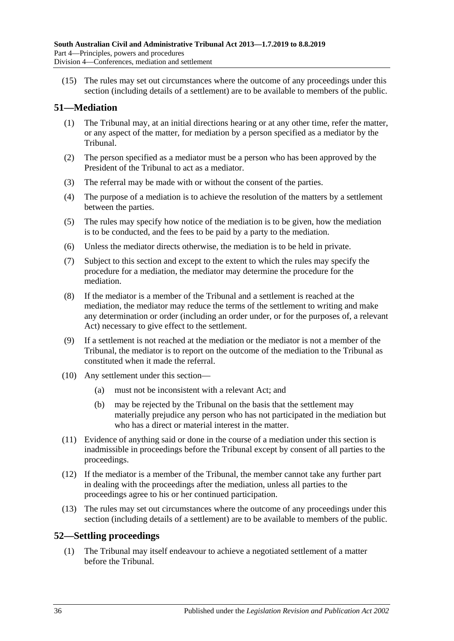(15) The rules may set out circumstances where the outcome of any proceedings under this section (including details of a settlement) are to be available to members of the public.

# <span id="page-35-0"></span>**51—Mediation**

- (1) The Tribunal may, at an initial directions hearing or at any other time, refer the matter, or any aspect of the matter, for mediation by a person specified as a mediator by the Tribunal.
- (2) The person specified as a mediator must be a person who has been approved by the President of the Tribunal to act as a mediator.
- (3) The referral may be made with or without the consent of the parties.
- (4) The purpose of a mediation is to achieve the resolution of the matters by a settlement between the parties.
- (5) The rules may specify how notice of the mediation is to be given, how the mediation is to be conducted, and the fees to be paid by a party to the mediation.
- (6) Unless the mediator directs otherwise, the mediation is to be held in private.
- (7) Subject to this section and except to the extent to which the rules may specify the procedure for a mediation, the mediator may determine the procedure for the mediation.
- (8) If the mediator is a member of the Tribunal and a settlement is reached at the mediation, the mediator may reduce the terms of the settlement to writing and make any determination or order (including an order under, or for the purposes of, a relevant Act) necessary to give effect to the settlement.
- (9) If a settlement is not reached at the mediation or the mediator is not a member of the Tribunal, the mediator is to report on the outcome of the mediation to the Tribunal as constituted when it made the referral.
- (10) Any settlement under this section—
	- (a) must not be inconsistent with a relevant Act; and
	- (b) may be rejected by the Tribunal on the basis that the settlement may materially prejudice any person who has not participated in the mediation but who has a direct or material interest in the matter.
- (11) Evidence of anything said or done in the course of a mediation under this section is inadmissible in proceedings before the Tribunal except by consent of all parties to the proceedings.
- (12) If the mediator is a member of the Tribunal, the member cannot take any further part in dealing with the proceedings after the mediation, unless all parties to the proceedings agree to his or her continued participation.
- (13) The rules may set out circumstances where the outcome of any proceedings under this section (including details of a settlement) are to be available to members of the public.

## <span id="page-35-1"></span>**52—Settling proceedings**

(1) The Tribunal may itself endeavour to achieve a negotiated settlement of a matter before the Tribunal.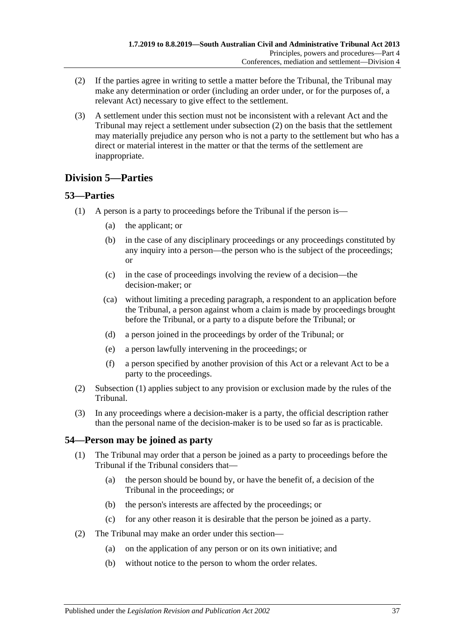- <span id="page-36-3"></span>(2) If the parties agree in writing to settle a matter before the Tribunal, the Tribunal may make any determination or order (including an order under, or for the purposes of, a relevant Act) necessary to give effect to the settlement.
- (3) A settlement under this section must not be inconsistent with a relevant Act and the Tribunal may reject a settlement under [subsection](#page-36-3) (2) on the basis that the settlement may materially prejudice any person who is not a party to the settlement but who has a direct or material interest in the matter or that the terms of the settlement are inappropriate.

# <span id="page-36-0"></span>**Division 5—Parties**

## <span id="page-36-4"></span><span id="page-36-1"></span>**53—Parties**

- (1) A person is a party to proceedings before the Tribunal if the person is—
	- (a) the applicant; or
	- (b) in the case of any disciplinary proceedings or any proceedings constituted by any inquiry into a person—the person who is the subject of the proceedings; or
	- (c) in the case of proceedings involving the review of a decision—the decision-maker; or
	- (ca) without limiting a preceding paragraph, a respondent to an application before the Tribunal, a person against whom a claim is made by proceedings brought before the Tribunal, or a party to a dispute before the Tribunal; or
	- (d) a person joined in the proceedings by order of the Tribunal; or
	- (e) a person lawfully intervening in the proceedings; or
	- (f) a person specified by another provision of this Act or a relevant Act to be a party to the proceedings.
- (2) [Subsection](#page-36-4) (1) applies subject to any provision or exclusion made by the rules of the Tribunal.
- (3) In any proceedings where a decision-maker is a party, the official description rather than the personal name of the decision-maker is to be used so far as is practicable.

# <span id="page-36-2"></span>**54—Person may be joined as party**

- (1) The Tribunal may order that a person be joined as a party to proceedings before the Tribunal if the Tribunal considers that—
	- (a) the person should be bound by, or have the benefit of, a decision of the Tribunal in the proceedings; or
	- (b) the person's interests are affected by the proceedings; or
	- (c) for any other reason it is desirable that the person be joined as a party.
- (2) The Tribunal may make an order under this section—
	- (a) on the application of any person or on its own initiative; and
	- (b) without notice to the person to whom the order relates.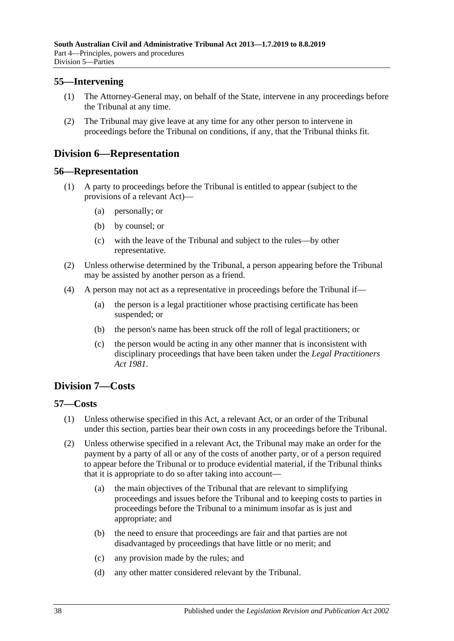## <span id="page-37-0"></span>**55—Intervening**

- (1) The Attorney-General may, on behalf of the State, intervene in any proceedings before the Tribunal at any time.
- (2) The Tribunal may give leave at any time for any other person to intervene in proceedings before the Tribunal on conditions, if any, that the Tribunal thinks fit.

# <span id="page-37-1"></span>**Division 6—Representation**

#### <span id="page-37-2"></span>**56—Representation**

- (1) A party to proceedings before the Tribunal is entitled to appear (subject to the provisions of a relevant Act)—
	- (a) personally; or
	- (b) by counsel; or
	- (c) with the leave of the Tribunal and subject to the rules—by other representative.
- (2) Unless otherwise determined by the Tribunal, a person appearing before the Tribunal may be assisted by another person as a friend.
- (4) A person may not act as a representative in proceedings before the Tribunal if—
	- (a) the person is a legal practitioner whose practising certificate has been suspended; or
	- (b) the person's name has been struck off the roll of legal practitioners; or
	- (c) the person would be acting in any other manner that is inconsistent with disciplinary proceedings that have been taken under the *[Legal Practitioners](http://www.legislation.sa.gov.au/index.aspx?action=legref&type=act&legtitle=Legal%20Practitioners%20Act%201981)  Act [1981](http://www.legislation.sa.gov.au/index.aspx?action=legref&type=act&legtitle=Legal%20Practitioners%20Act%201981)*.

# <span id="page-37-3"></span>**Division 7—Costs**

#### <span id="page-37-4"></span>**57—Costs**

- (1) Unless otherwise specified in this Act, a relevant Act, or an order of the Tribunal under this section, parties bear their own costs in any proceedings before the Tribunal.
- <span id="page-37-5"></span>(2) Unless otherwise specified in a relevant Act, the Tribunal may make an order for the payment by a party of all or any of the costs of another party, or of a person required to appear before the Tribunal or to produce evidential material, if the Tribunal thinks that it is appropriate to do so after taking into account—
	- (a) the main objectives of the Tribunal that are relevant to simplifying proceedings and issues before the Tribunal and to keeping costs to parties in proceedings before the Tribunal to a minimum insofar as is just and appropriate; and
	- (b) the need to ensure that proceedings are fair and that parties are not disadvantaged by proceedings that have little or no merit; and
	- (c) any provision made by the rules; and
	- (d) any other matter considered relevant by the Tribunal.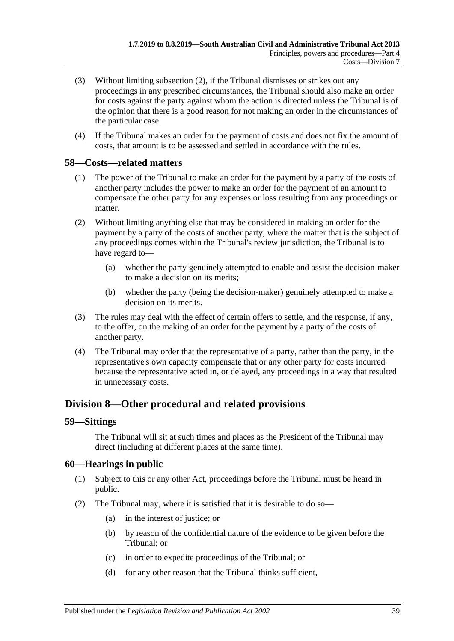- (3) Without limiting [subsection](#page-37-5) (2), if the Tribunal dismisses or strikes out any proceedings in any prescribed circumstances, the Tribunal should also make an order for costs against the party against whom the action is directed unless the Tribunal is of the opinion that there is a good reason for not making an order in the circumstances of the particular case.
- (4) If the Tribunal makes an order for the payment of costs and does not fix the amount of costs, that amount is to be assessed and settled in accordance with the rules.

#### <span id="page-38-0"></span>**58—Costs—related matters**

- (1) The power of the Tribunal to make an order for the payment by a party of the costs of another party includes the power to make an order for the payment of an amount to compensate the other party for any expenses or loss resulting from any proceedings or matter.
- (2) Without limiting anything else that may be considered in making an order for the payment by a party of the costs of another party, where the matter that is the subject of any proceedings comes within the Tribunal's review jurisdiction, the Tribunal is to have regard to—
	- (a) whether the party genuinely attempted to enable and assist the decision-maker to make a decision on its merits;
	- (b) whether the party (being the decision-maker) genuinely attempted to make a decision on its merits.
- (3) The rules may deal with the effect of certain offers to settle, and the response, if any, to the offer, on the making of an order for the payment by a party of the costs of another party.
- (4) The Tribunal may order that the representative of a party, rather than the party, in the representative's own capacity compensate that or any other party for costs incurred because the representative acted in, or delayed, any proceedings in a way that resulted in unnecessary costs.

# <span id="page-38-1"></span>**Division 8—Other procedural and related provisions**

#### <span id="page-38-2"></span>**59—Sittings**

The Tribunal will sit at such times and places as the President of the Tribunal may direct (including at different places at the same time).

## <span id="page-38-3"></span>**60—Hearings in public**

- (1) Subject to this or any other Act, proceedings before the Tribunal must be heard in public.
- <span id="page-38-4"></span>(2) The Tribunal may, where it is satisfied that it is desirable to do so—
	- (a) in the interest of justice; or
	- (b) by reason of the confidential nature of the evidence to be given before the Tribunal; or
	- (c) in order to expedite proceedings of the Tribunal; or
	- (d) for any other reason that the Tribunal thinks sufficient,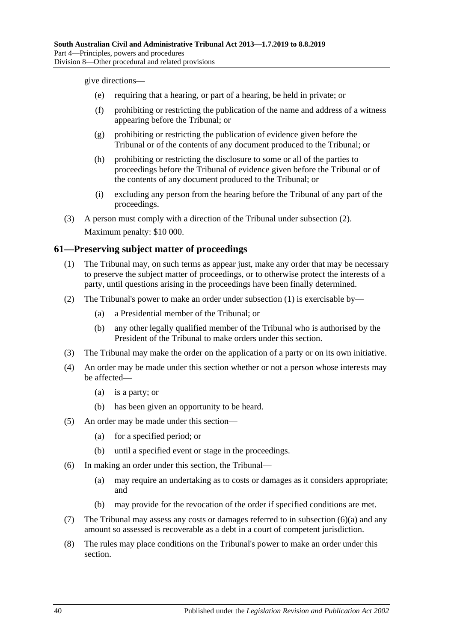give directions—

- (e) requiring that a hearing, or part of a hearing, be held in private; or
- (f) prohibiting or restricting the publication of the name and address of a witness appearing before the Tribunal; or
- (g) prohibiting or restricting the publication of evidence given before the Tribunal or of the contents of any document produced to the Tribunal; or
- (h) prohibiting or restricting the disclosure to some or all of the parties to proceedings before the Tribunal of evidence given before the Tribunal or of the contents of any document produced to the Tribunal; or
- (i) excluding any person from the hearing before the Tribunal of any part of the proceedings.
- (3) A person must comply with a direction of the Tribunal under [subsection](#page-38-4) (2). Maximum penalty: \$10 000.

## <span id="page-39-1"></span><span id="page-39-0"></span>**61—Preserving subject matter of proceedings**

- (1) The Tribunal may, on such terms as appear just, make any order that may be necessary to preserve the subject matter of proceedings, or to otherwise protect the interests of a party, until questions arising in the proceedings have been finally determined.
- (2) The Tribunal's power to make an order under [subsection](#page-39-1) (1) is exercisable by—
	- (a) a Presidential member of the Tribunal; or
	- (b) any other legally qualified member of the Tribunal who is authorised by the President of the Tribunal to make orders under this section.
- (3) The Tribunal may make the order on the application of a party or on its own initiative.
- (4) An order may be made under this section whether or not a person whose interests may be affected—
	- (a) is a party; or
	- (b) has been given an opportunity to be heard.
- (5) An order may be made under this section—
	- (a) for a specified period; or
	- (b) until a specified event or stage in the proceedings.
- <span id="page-39-2"></span>(6) In making an order under this section, the Tribunal—
	- (a) may require an undertaking as to costs or damages as it considers appropriate; and
	- (b) may provide for the revocation of the order if specified conditions are met.
- (7) The Tribunal may assess any costs or damages referred to in [subsection](#page-39-2) (6)(a) and any amount so assessed is recoverable as a debt in a court of competent jurisdiction.
- (8) The rules may place conditions on the Tribunal's power to make an order under this section.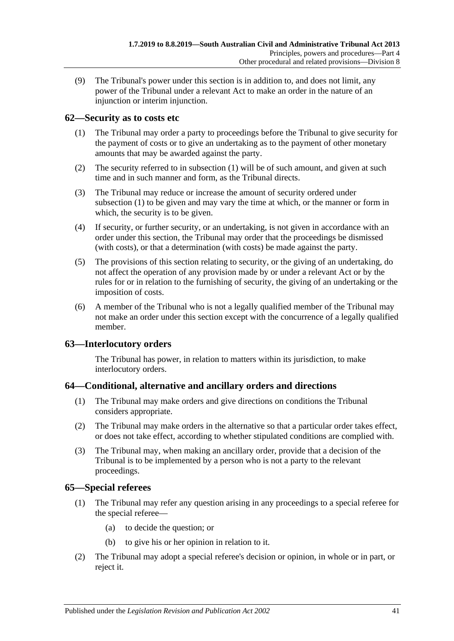(9) The Tribunal's power under this section is in addition to, and does not limit, any power of the Tribunal under a relevant Act to make an order in the nature of an injunction or interim injunction.

## <span id="page-40-4"></span><span id="page-40-0"></span>**62—Security as to costs etc**

- (1) The Tribunal may order a party to proceedings before the Tribunal to give security for the payment of costs or to give an undertaking as to the payment of other monetary amounts that may be awarded against the party.
- (2) The security referred to in [subsection](#page-40-4) (1) will be of such amount, and given at such time and in such manner and form, as the Tribunal directs.
- (3) The Tribunal may reduce or increase the amount of security ordered under [subsection](#page-40-4) (1) to be given and may vary the time at which, or the manner or form in which, the security is to be given.
- (4) If security, or further security, or an undertaking, is not given in accordance with an order under this section, the Tribunal may order that the proceedings be dismissed (with costs), or that a determination (with costs) be made against the party.
- (5) The provisions of this section relating to security, or the giving of an undertaking, do not affect the operation of any provision made by or under a relevant Act or by the rules for or in relation to the furnishing of security, the giving of an undertaking or the imposition of costs.
- (6) A member of the Tribunal who is not a legally qualified member of the Tribunal may not make an order under this section except with the concurrence of a legally qualified member.

## <span id="page-40-1"></span>**63—Interlocutory orders**

The Tribunal has power, in relation to matters within its jurisdiction, to make interlocutory orders.

## <span id="page-40-2"></span>**64—Conditional, alternative and ancillary orders and directions**

- (1) The Tribunal may make orders and give directions on conditions the Tribunal considers appropriate.
- (2) The Tribunal may make orders in the alternative so that a particular order takes effect, or does not take effect, according to whether stipulated conditions are complied with.
- (3) The Tribunal may, when making an ancillary order, provide that a decision of the Tribunal is to be implemented by a person who is not a party to the relevant proceedings.

## <span id="page-40-3"></span>**65—Special referees**

- (1) The Tribunal may refer any question arising in any proceedings to a special referee for the special referee—
	- (a) to decide the question; or
	- (b) to give his or her opinion in relation to it.
- (2) The Tribunal may adopt a special referee's decision or opinion, in whole or in part, or reject it.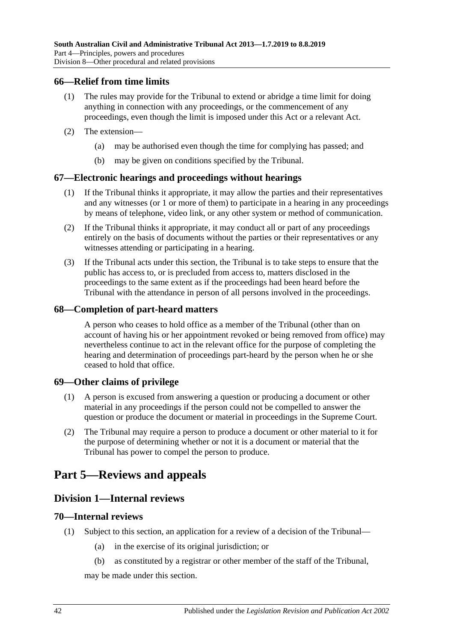#### <span id="page-41-0"></span>**66—Relief from time limits**

- (1) The rules may provide for the Tribunal to extend or abridge a time limit for doing anything in connection with any proceedings, or the commencement of any proceedings, even though the limit is imposed under this Act or a relevant Act.
- (2) The extension—
	- (a) may be authorised even though the time for complying has passed; and
	- (b) may be given on conditions specified by the Tribunal.

#### <span id="page-41-1"></span>**67—Electronic hearings and proceedings without hearings**

- (1) If the Tribunal thinks it appropriate, it may allow the parties and their representatives and any witnesses (or 1 or more of them) to participate in a hearing in any proceedings by means of telephone, video link, or any other system or method of communication.
- (2) If the Tribunal thinks it appropriate, it may conduct all or part of any proceedings entirely on the basis of documents without the parties or their representatives or any witnesses attending or participating in a hearing.
- (3) If the Tribunal acts under this section, the Tribunal is to take steps to ensure that the public has access to, or is precluded from access to, matters disclosed in the proceedings to the same extent as if the proceedings had been heard before the Tribunal with the attendance in person of all persons involved in the proceedings.

#### <span id="page-41-2"></span>**68—Completion of part-heard matters**

A person who ceases to hold office as a member of the Tribunal (other than on account of having his or her appointment revoked or being removed from office) may nevertheless continue to act in the relevant office for the purpose of completing the hearing and determination of proceedings part-heard by the person when he or she ceased to hold that office.

#### <span id="page-41-3"></span>**69—Other claims of privilege**

- (1) A person is excused from answering a question or producing a document or other material in any proceedings if the person could not be compelled to answer the question or produce the document or material in proceedings in the Supreme Court.
- (2) The Tribunal may require a person to produce a document or other material to it for the purpose of determining whether or not it is a document or material that the Tribunal has power to compel the person to produce.

# <span id="page-41-5"></span><span id="page-41-4"></span>**Part 5—Reviews and appeals**

## **Division 1—Internal reviews**

#### <span id="page-41-6"></span>**70—Internal reviews**

- <span id="page-41-8"></span><span id="page-41-7"></span>(1) Subject to this section, an application for a review of a decision of the Tribunal—
	- (a) in the exercise of its original jurisdiction; or
	- (b) as constituted by a registrar or other member of the staff of the Tribunal,

may be made under this section.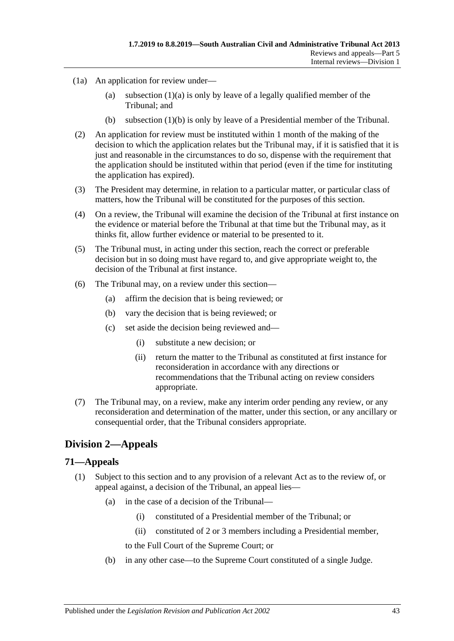- (1a) An application for review under
	- (a) [subsection](#page-41-7)  $(1)(a)$  is only by leave of a legally qualified member of the Tribunal; and
	- (b) [subsection](#page-41-8) (1)(b) is only by leave of a Presidential member of the Tribunal.
- (2) An application for review must be instituted within 1 month of the making of the decision to which the application relates but the Tribunal may, if it is satisfied that it is just and reasonable in the circumstances to do so, dispense with the requirement that the application should be instituted within that period (even if the time for instituting the application has expired).
- (3) The President may determine, in relation to a particular matter, or particular class of matters, how the Tribunal will be constituted for the purposes of this section.
- (4) On a review, the Tribunal will examine the decision of the Tribunal at first instance on the evidence or material before the Tribunal at that time but the Tribunal may, as it thinks fit, allow further evidence or material to be presented to it.
- (5) The Tribunal must, in acting under this section, reach the correct or preferable decision but in so doing must have regard to, and give appropriate weight to, the decision of the Tribunal at first instance.
- (6) The Tribunal may, on a review under this section—
	- (a) affirm the decision that is being reviewed; or
	- (b) vary the decision that is being reviewed; or
	- (c) set aside the decision being reviewed and—
		- (i) substitute a new decision; or
		- (ii) return the matter to the Tribunal as constituted at first instance for reconsideration in accordance with any directions or recommendations that the Tribunal acting on review considers appropriate.
- (7) The Tribunal may, on a review, make any interim order pending any review, or any reconsideration and determination of the matter, under this section, or any ancillary or consequential order, that the Tribunal considers appropriate.

# <span id="page-42-0"></span>**Division 2—Appeals**

#### <span id="page-42-2"></span><span id="page-42-1"></span>**71—Appeals**

- (1) Subject to this section and to any provision of a relevant Act as to the review of, or appeal against, a decision of the Tribunal, an appeal lies—
	- (a) in the case of a decision of the Tribunal—
		- (i) constituted of a Presidential member of the Tribunal; or
		- (ii) constituted of 2 or 3 members including a Presidential member,
		- to the Full Court of the Supreme Court; or
	- (b) in any other case—to the Supreme Court constituted of a single Judge.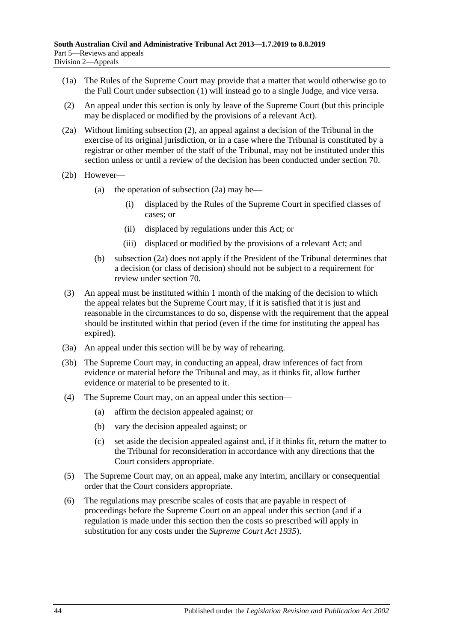- (1a) The Rules of the Supreme Court may provide that a matter that would otherwise go to the Full Court under [subsection](#page-42-2) (1) will instead go to a single Judge, and vice versa.
- <span id="page-43-0"></span>(2) An appeal under this section is only by leave of the Supreme Court (but this principle may be displaced or modified by the provisions of a relevant Act).
- <span id="page-43-1"></span>(2a) Without limiting [subsection](#page-43-0) (2), an appeal against a decision of the Tribunal in the exercise of its original jurisdiction, or in a case where the Tribunal is constituted by a registrar or other member of the staff of the Tribunal, may not be instituted under this section unless or until a review of the decision has been conducted under [section](#page-41-6) 70.
- (2b) However
	- (a) the operation of [subsection](#page-43-1)  $(2a)$  may be—
		- (i) displaced by the Rules of the Supreme Court in specified classes of cases; or
		- (ii) displaced by regulations under this Act; or
		- (iii) displaced or modified by the provisions of a relevant Act; and
	- (b) [subsection](#page-43-1) (2a) does not apply if the President of the Tribunal determines that a decision (or class of decision) should not be subject to a requirement for review under [section](#page-41-6) 70.
- (3) An appeal must be instituted within 1 month of the making of the decision to which the appeal relates but the Supreme Court may, if it is satisfied that it is just and reasonable in the circumstances to do so, dispense with the requirement that the appeal should be instituted within that period (even if the time for instituting the appeal has expired).
- (3a) An appeal under this section will be by way of rehearing.
- (3b) The Supreme Court may, in conducting an appeal, draw inferences of fact from evidence or material before the Tribunal and may, as it thinks fit, allow further evidence or material to be presented to it.
- (4) The Supreme Court may, on an appeal under this section—
	- (a) affirm the decision appealed against; or
	- (b) vary the decision appealed against; or
	- (c) set aside the decision appealed against and, if it thinks fit, return the matter to the Tribunal for reconsideration in accordance with any directions that the Court considers appropriate.
- (5) The Supreme Court may, on an appeal, make any interim, ancillary or consequential order that the Court considers appropriate.
- (6) The regulations may prescribe scales of costs that are payable in respect of proceedings before the Supreme Court on an appeal under this section (and if a regulation is made under this section then the costs so prescribed will apply in substitution for any costs under the *[Supreme Court Act](http://www.legislation.sa.gov.au/index.aspx?action=legref&type=act&legtitle=Supreme%20Court%20Act%201935) 1935*).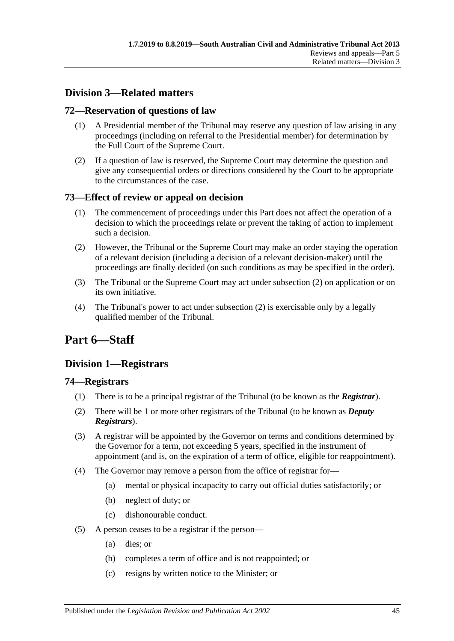# <span id="page-44-0"></span>**Division 3—Related matters**

## <span id="page-44-1"></span>**72—Reservation of questions of law**

- (1) A Presidential member of the Tribunal may reserve any question of law arising in any proceedings (including on referral to the Presidential member) for determination by the Full Court of the Supreme Court.
- (2) If a question of law is reserved, the Supreme Court may determine the question and give any consequential orders or directions considered by the Court to be appropriate to the circumstances of the case.

## <span id="page-44-2"></span>**73—Effect of review or appeal on decision**

- (1) The commencement of proceedings under this Part does not affect the operation of a decision to which the proceedings relate or prevent the taking of action to implement such a decision.
- <span id="page-44-6"></span>(2) However, the Tribunal or the Supreme Court may make an order staying the operation of a relevant decision (including a decision of a relevant decision-maker) until the proceedings are finally decided (on such conditions as may be specified in the order).
- (3) The Tribunal or the Supreme Court may act under [subsection](#page-44-6) (2) on application or on its own initiative.
- (4) The Tribunal's power to act under [subsection](#page-44-6) (2) is exercisable only by a legally qualified member of the Tribunal.

# <span id="page-44-3"></span>**Part 6—Staff**

# <span id="page-44-4"></span>**Division 1—Registrars**

## <span id="page-44-5"></span>**74—Registrars**

- (1) There is to be a principal registrar of the Tribunal (to be known as the *Registrar*).
- (2) There will be 1 or more other registrars of the Tribunal (to be known as *Deputy Registrars*).
- (3) A registrar will be appointed by the Governor on terms and conditions determined by the Governor for a term, not exceeding 5 years, specified in the instrument of appointment (and is, on the expiration of a term of office, eligible for reappointment).
- <span id="page-44-7"></span>(4) The Governor may remove a person from the office of registrar for—
	- (a) mental or physical incapacity to carry out official duties satisfactorily; or
	- (b) neglect of duty; or
	- (c) dishonourable conduct.
- (5) A person ceases to be a registrar if the person—
	- (a) dies; or
	- (b) completes a term of office and is not reappointed; or
	- (c) resigns by written notice to the Minister; or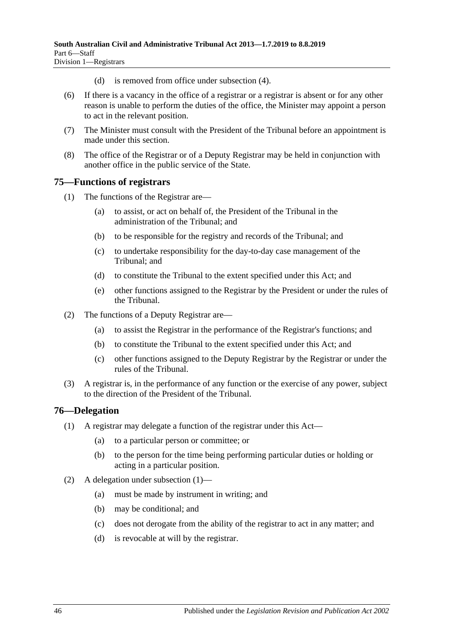- (d) is removed from office under [subsection](#page-44-7) (4).
- (6) If there is a vacancy in the office of a registrar or a registrar is absent or for any other reason is unable to perform the duties of the office, the Minister may appoint a person to act in the relevant position.
- (7) The Minister must consult with the President of the Tribunal before an appointment is made under this section.
- (8) The office of the Registrar or of a Deputy Registrar may be held in conjunction with another office in the public service of the State.

## <span id="page-45-0"></span>**75—Functions of registrars**

- (1) The functions of the Registrar are—
	- (a) to assist, or act on behalf of, the President of the Tribunal in the administration of the Tribunal; and
	- (b) to be responsible for the registry and records of the Tribunal; and
	- (c) to undertake responsibility for the day-to-day case management of the Tribunal; and
	- (d) to constitute the Tribunal to the extent specified under this Act; and
	- (e) other functions assigned to the Registrar by the President or under the rules of the Tribunal.
- (2) The functions of a Deputy Registrar are—
	- (a) to assist the Registrar in the performance of the Registrar's functions; and
	- (b) to constitute the Tribunal to the extent specified under this Act; and
	- (c) other functions assigned to the Deputy Registrar by the Registrar or under the rules of the Tribunal.
- (3) A registrar is, in the performance of any function or the exercise of any power, subject to the direction of the President of the Tribunal.

## <span id="page-45-2"></span><span id="page-45-1"></span>**76—Delegation**

- (1) A registrar may delegate a function of the registrar under this Act—
	- (a) to a particular person or committee; or
	- (b) to the person for the time being performing particular duties or holding or acting in a particular position.
- (2) A delegation under [subsection](#page-45-2) (1)—
	- (a) must be made by instrument in writing; and
	- (b) may be conditional; and
	- (c) does not derogate from the ability of the registrar to act in any matter; and
	- (d) is revocable at will by the registrar.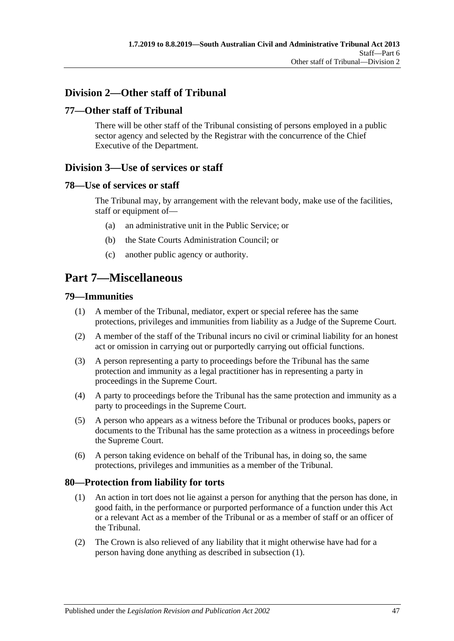# <span id="page-46-0"></span>**Division 2—Other staff of Tribunal**

## <span id="page-46-1"></span>**77—Other staff of Tribunal**

There will be other staff of the Tribunal consisting of persons employed in a public sector agency and selected by the Registrar with the concurrence of the Chief Executive of the Department.

# <span id="page-46-2"></span>**Division 3—Use of services or staff**

#### <span id="page-46-3"></span>**78—Use of services or staff**

The Tribunal may, by arrangement with the relevant body, make use of the facilities, staff or equipment of—

- (a) an administrative unit in the Public Service; or
- (b) the State Courts Administration Council; or
- (c) another public agency or authority.

# <span id="page-46-4"></span>**Part 7—Miscellaneous**

#### <span id="page-46-5"></span>**79—Immunities**

- (1) A member of the Tribunal, mediator, expert or special referee has the same protections, privileges and immunities from liability as a Judge of the Supreme Court.
- (2) A member of the staff of the Tribunal incurs no civil or criminal liability for an honest act or omission in carrying out or purportedly carrying out official functions.
- (3) A person representing a party to proceedings before the Tribunal has the same protection and immunity as a legal practitioner has in representing a party in proceedings in the Supreme Court.
- (4) A party to proceedings before the Tribunal has the same protection and immunity as a party to proceedings in the Supreme Court.
- (5) A person who appears as a witness before the Tribunal or produces books, papers or documents to the Tribunal has the same protection as a witness in proceedings before the Supreme Court.
- (6) A person taking evidence on behalf of the Tribunal has, in doing so, the same protections, privileges and immunities as a member of the Tribunal.

#### <span id="page-46-7"></span><span id="page-46-6"></span>**80—Protection from liability for torts**

- (1) An action in tort does not lie against a person for anything that the person has done, in good faith, in the performance or purported performance of a function under this Act or a relevant Act as a member of the Tribunal or as a member of staff or an officer of the Tribunal.
- (2) The Crown is also relieved of any liability that it might otherwise have had for a person having done anything as described in [subsection](#page-46-7) (1).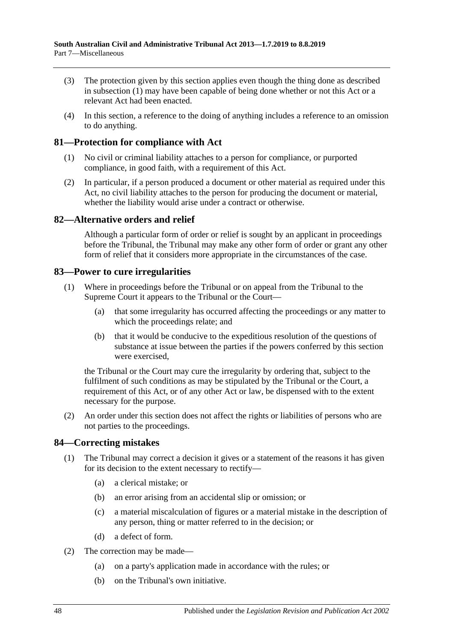- (3) The protection given by this section applies even though the thing done as described in [subsection](#page-46-7) (1) may have been capable of being done whether or not this Act or a relevant Act had been enacted.
- (4) In this section, a reference to the doing of anything includes a reference to an omission to do anything.

## <span id="page-47-0"></span>**81—Protection for compliance with Act**

- (1) No civil or criminal liability attaches to a person for compliance, or purported compliance, in good faith, with a requirement of this Act.
- (2) In particular, if a person produced a document or other material as required under this Act, no civil liability attaches to the person for producing the document or material, whether the liability would arise under a contract or otherwise.

## <span id="page-47-1"></span>**82—Alternative orders and relief**

Although a particular form of order or relief is sought by an applicant in proceedings before the Tribunal, the Tribunal may make any other form of order or grant any other form of relief that it considers more appropriate in the circumstances of the case.

## <span id="page-47-2"></span>**83—Power to cure irregularities**

- (1) Where in proceedings before the Tribunal or on appeal from the Tribunal to the Supreme Court it appears to the Tribunal or the Court—
	- (a) that some irregularity has occurred affecting the proceedings or any matter to which the proceedings relate; and
	- (b) that it would be conducive to the expeditious resolution of the questions of substance at issue between the parties if the powers conferred by this section were exercised,

the Tribunal or the Court may cure the irregularity by ordering that, subject to the fulfilment of such conditions as may be stipulated by the Tribunal or the Court, a requirement of this Act, or of any other Act or law, be dispensed with to the extent necessary for the purpose.

(2) An order under this section does not affect the rights or liabilities of persons who are not parties to the proceedings.

## <span id="page-47-3"></span>**84—Correcting mistakes**

- (1) The Tribunal may correct a decision it gives or a statement of the reasons it has given for its decision to the extent necessary to rectify—
	- (a) a clerical mistake; or
	- (b) an error arising from an accidental slip or omission; or
	- (c) a material miscalculation of figures or a material mistake in the description of any person, thing or matter referred to in the decision; or
	- (d) a defect of form.
- (2) The correction may be made—
	- (a) on a party's application made in accordance with the rules; or
	- (b) on the Tribunal's own initiative.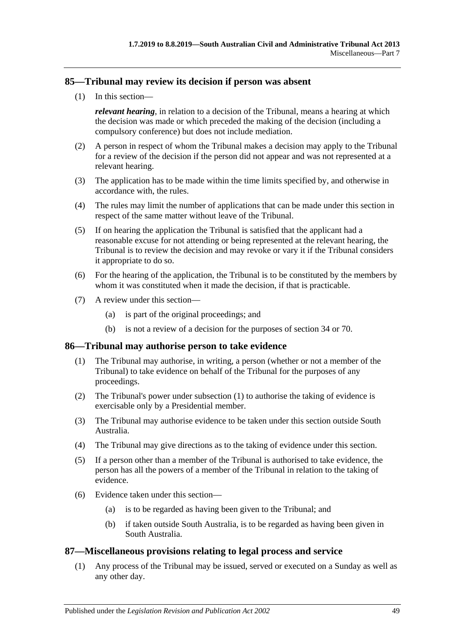## <span id="page-48-0"></span>**85—Tribunal may review its decision if person was absent**

(1) In this section—

*relevant hearing*, in relation to a decision of the Tribunal, means a hearing at which the decision was made or which preceded the making of the decision (including a compulsory conference) but does not include mediation.

- (2) A person in respect of whom the Tribunal makes a decision may apply to the Tribunal for a review of the decision if the person did not appear and was not represented at a relevant hearing.
- (3) The application has to be made within the time limits specified by, and otherwise in accordance with, the rules.
- (4) The rules may limit the number of applications that can be made under this section in respect of the same matter without leave of the Tribunal.
- (5) If on hearing the application the Tribunal is satisfied that the applicant had a reasonable excuse for not attending or being represented at the relevant hearing, the Tribunal is to review the decision and may revoke or vary it if the Tribunal considers it appropriate to do so.
- (6) For the hearing of the application, the Tribunal is to be constituted by the members by whom it was constituted when it made the decision, if that is practicable.
- (7) A review under this section—
	- (a) is part of the original proceedings; and
	- (b) is not a review of a decision for the purposes of [section](#page-21-3) 34 or [70.](#page-41-6)

#### <span id="page-48-3"></span><span id="page-48-1"></span>**86—Tribunal may authorise person to take evidence**

- (1) The Tribunal may authorise, in writing, a person (whether or not a member of the Tribunal) to take evidence on behalf of the Tribunal for the purposes of any proceedings.
- (2) The Tribunal's power under [subsection](#page-48-3) (1) to authorise the taking of evidence is exercisable only by a Presidential member.
- (3) The Tribunal may authorise evidence to be taken under this section outside South Australia.
- (4) The Tribunal may give directions as to the taking of evidence under this section.
- (5) If a person other than a member of the Tribunal is authorised to take evidence, the person has all the powers of a member of the Tribunal in relation to the taking of evidence.
- (6) Evidence taken under this section—
	- (a) is to be regarded as having been given to the Tribunal; and
	- (b) if taken outside South Australia, is to be regarded as having been given in South Australia.

#### <span id="page-48-2"></span>**87—Miscellaneous provisions relating to legal process and service**

(1) Any process of the Tribunal may be issued, served or executed on a Sunday as well as any other day.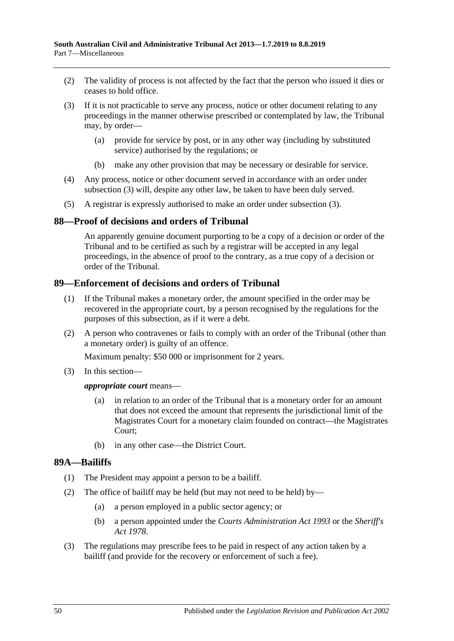- (2) The validity of process is not affected by the fact that the person who issued it dies or ceases to hold office.
- <span id="page-49-3"></span>(3) If it is not practicable to serve any process, notice or other document relating to any proceedings in the manner otherwise prescribed or contemplated by law, the Tribunal may, by order—
	- (a) provide for service by post, or in any other way (including by substituted service) authorised by the regulations; or
	- (b) make any other provision that may be necessary or desirable for service.
- (4) Any process, notice or other document served in accordance with an order under [subsection](#page-49-3) (3) will, despite any other law, be taken to have been duly served.
- (5) A registrar is expressly authorised to make an order under [subsection](#page-49-3) (3).

#### <span id="page-49-0"></span>**88—Proof of decisions and orders of Tribunal**

An apparently genuine document purporting to be a copy of a decision or order of the Tribunal and to be certified as such by a registrar will be accepted in any legal proceedings, in the absence of proof to the contrary, as a true copy of a decision or order of the Tribunal.

## <span id="page-49-1"></span>**89—Enforcement of decisions and orders of Tribunal**

- (1) If the Tribunal makes a monetary order, the amount specified in the order may be recovered in the appropriate court, by a person recognised by the regulations for the purposes of this subsection, as if it were a debt.
- (2) A person who contravenes or fails to comply with an order of the Tribunal (other than a monetary order) is guilty of an offence.

Maximum penalty: \$50 000 or imprisonment for 2 years.

(3) In this section—

#### *appropriate court* means—

- (a) in relation to an order of the Tribunal that is a monetary order for an amount that does not exceed the amount that represents the jurisdictional limit of the Magistrates Court for a monetary claim founded on contract—the Magistrates Court;
- (b) in any other case—the District Court.

#### <span id="page-49-2"></span>**89A—Bailiffs**

- (1) The President may appoint a person to be a bailiff.
- (2) The office of bailiff may be held (but may not need to be held) by—
	- (a) a person employed in a public sector agency; or
	- (b) a person appointed under the *[Courts Administration Act](http://www.legislation.sa.gov.au/index.aspx?action=legref&type=act&legtitle=Courts%20Administration%20Act%201993) 1993* or the *[Sheriff's](http://www.legislation.sa.gov.au/index.aspx?action=legref&type=act&legtitle=Sheriffs%20Act%201978)  Act [1978](http://www.legislation.sa.gov.au/index.aspx?action=legref&type=act&legtitle=Sheriffs%20Act%201978)*.
- (3) The regulations may prescribe fees to be paid in respect of any action taken by a bailiff (and provide for the recovery or enforcement of such a fee).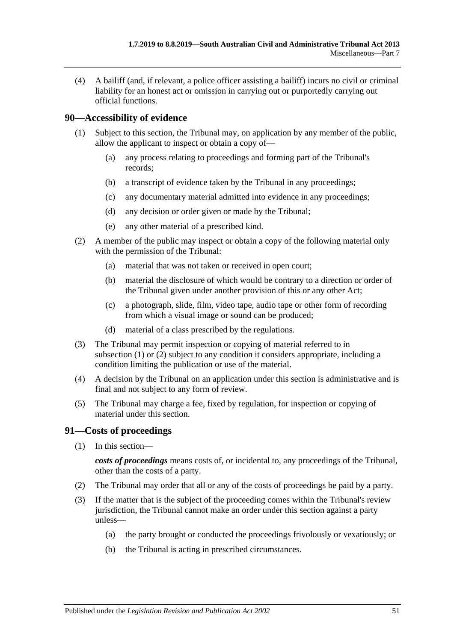(4) A bailiff (and, if relevant, a police officer assisting a bailiff) incurs no civil or criminal liability for an honest act or omission in carrying out or purportedly carrying out official functions.

## <span id="page-50-2"></span><span id="page-50-0"></span>**90—Accessibility of evidence**

- (1) Subject to this section, the Tribunal may, on application by any member of the public, allow the applicant to inspect or obtain a copy of—
	- (a) any process relating to proceedings and forming part of the Tribunal's records;
	- (b) a transcript of evidence taken by the Tribunal in any proceedings;
	- (c) any documentary material admitted into evidence in any proceedings;
	- (d) any decision or order given or made by the Tribunal;
	- (e) any other material of a prescribed kind.
- <span id="page-50-3"></span>(2) A member of the public may inspect or obtain a copy of the following material only with the permission of the Tribunal:
	- (a) material that was not taken or received in open court;
	- (b) material the disclosure of which would be contrary to a direction or order of the Tribunal given under another provision of this or any other Act;
	- (c) a photograph, slide, film, video tape, audio tape or other form of recording from which a visual image or sound can be produced;
	- (d) material of a class prescribed by the regulations.
- (3) The Tribunal may permit inspection or copying of material referred to in [subsection](#page-50-2) (1) or [\(2\)](#page-50-3) subject to any condition it considers appropriate, including a condition limiting the publication or use of the material.
- (4) A decision by the Tribunal on an application under this section is administrative and is final and not subject to any form of review.
- (5) The Tribunal may charge a fee, fixed by regulation, for inspection or copying of material under this section.

## <span id="page-50-1"></span>**91—Costs of proceedings**

(1) In this section—

*costs of proceedings* means costs of, or incidental to, any proceedings of the Tribunal, other than the costs of a party.

- (2) The Tribunal may order that all or any of the costs of proceedings be paid by a party.
- (3) If the matter that is the subject of the proceeding comes within the Tribunal's review jurisdiction, the Tribunal cannot make an order under this section against a party unless—
	- (a) the party brought or conducted the proceedings frivolously or vexatiously; or
	- (b) the Tribunal is acting in prescribed circumstances.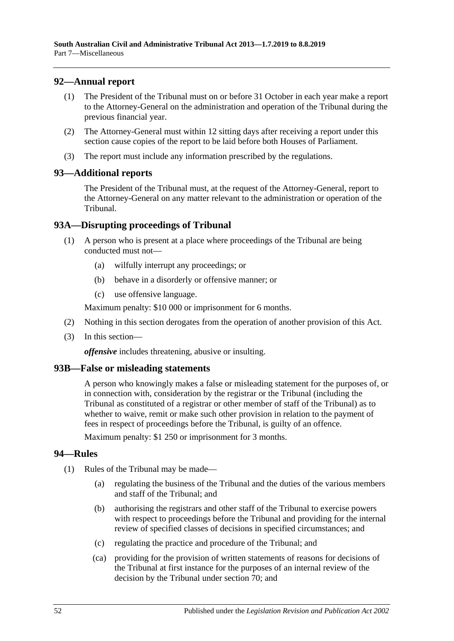## <span id="page-51-0"></span>**92—Annual report**

- (1) The President of the Tribunal must on or before 31 October in each year make a report to the Attorney-General on the administration and operation of the Tribunal during the previous financial year.
- (2) The Attorney-General must within 12 sitting days after receiving a report under this section cause copies of the report to be laid before both Houses of Parliament.
- (3) The report must include any information prescribed by the regulations.

## <span id="page-51-1"></span>**93—Additional reports**

The President of the Tribunal must, at the request of the Attorney-General, report to the Attorney-General on any matter relevant to the administration or operation of the Tribunal.

## <span id="page-51-2"></span>**93A—Disrupting proceedings of Tribunal**

- (1) A person who is present at a place where proceedings of the Tribunal are being conducted must not—
	- (a) wilfully interrupt any proceedings; or
	- (b) behave in a disorderly or offensive manner; or
	- (c) use offensive language.

Maximum penalty: \$10 000 or imprisonment for 6 months.

- (2) Nothing in this section derogates from the operation of another provision of this Act.
- (3) In this section—

*offensive* includes threatening, abusive or insulting.

## <span id="page-51-3"></span>**93B—False or misleading statements**

A person who knowingly makes a false or misleading statement for the purposes of, or in connection with, consideration by the registrar or the Tribunal (including the Tribunal as constituted of a registrar or other member of staff of the Tribunal) as to whether to waive, remit or make such other provision in relation to the payment of fees in respect of proceedings before the Tribunal, is guilty of an offence.

Maximum penalty: \$1 250 or imprisonment for 3 months.

## <span id="page-51-4"></span>**94—Rules**

- (1) Rules of the Tribunal may be made—
	- (a) regulating the business of the Tribunal and the duties of the various members and staff of the Tribunal; and
	- (b) authorising the registrars and other staff of the Tribunal to exercise powers with respect to proceedings before the Tribunal and providing for the internal review of specified classes of decisions in specified circumstances; and
	- (c) regulating the practice and procedure of the Tribunal; and
	- (ca) providing for the provision of written statements of reasons for decisions of the Tribunal at first instance for the purposes of an internal review of the decision by the Tribunal under [section](#page-41-6) 70; and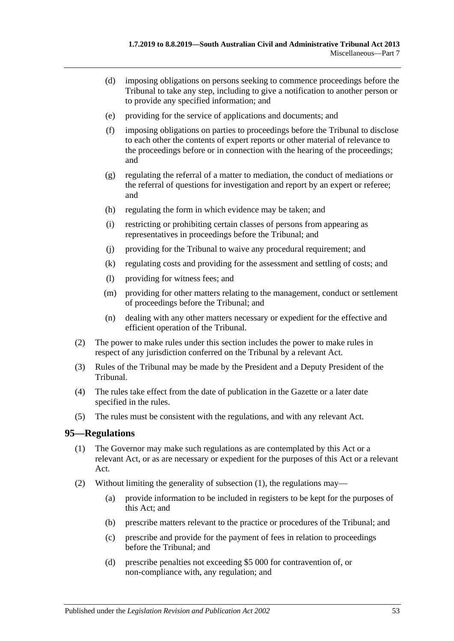- (d) imposing obligations on persons seeking to commence proceedings before the Tribunal to take any step, including to give a notification to another person or to provide any specified information; and
- (e) providing for the service of applications and documents; and
- (f) imposing obligations on parties to proceedings before the Tribunal to disclose to each other the contents of expert reports or other material of relevance to the proceedings before or in connection with the hearing of the proceedings; and
- (g) regulating the referral of a matter to mediation, the conduct of mediations or the referral of questions for investigation and report by an expert or referee; and
- (h) regulating the form in which evidence may be taken; and
- (i) restricting or prohibiting certain classes of persons from appearing as representatives in proceedings before the Tribunal; and
- (j) providing for the Tribunal to waive any procedural requirement; and
- (k) regulating costs and providing for the assessment and settling of costs; and
- (l) providing for witness fees; and
- (m) providing for other matters relating to the management, conduct or settlement of proceedings before the Tribunal; and
- (n) dealing with any other matters necessary or expedient for the effective and efficient operation of the Tribunal.
- (2) The power to make rules under this section includes the power to make rules in respect of any jurisdiction conferred on the Tribunal by a relevant Act.
- (3) Rules of the Tribunal may be made by the President and a Deputy President of the Tribunal.
- (4) The rules take effect from the date of publication in the Gazette or a later date specified in the rules.
- (5) The rules must be consistent with the regulations, and with any relevant Act.

#### <span id="page-52-1"></span><span id="page-52-0"></span>**95—Regulations**

- (1) The Governor may make such regulations as are contemplated by this Act or a relevant Act, or as are necessary or expedient for the purposes of this Act or a relevant Act.
- (2) Without limiting the generality of [subsection](#page-52-1) (1), the regulations may—
	- (a) provide information to be included in registers to be kept for the purposes of this Act; and
	- (b) prescribe matters relevant to the practice or procedures of the Tribunal; and
	- (c) prescribe and provide for the payment of fees in relation to proceedings before the Tribunal; and
	- (d) prescribe penalties not exceeding \$5 000 for contravention of, or non-compliance with, any regulation; and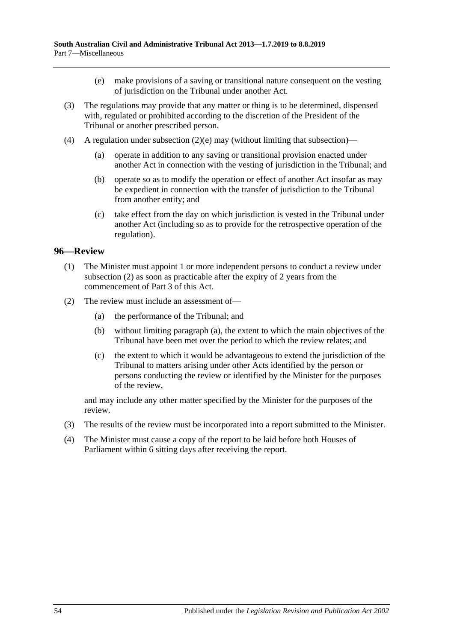- (e) make provisions of a saving or transitional nature consequent on the vesting of jurisdiction on the Tribunal under another Act.
- <span id="page-53-1"></span>(3) The regulations may provide that any matter or thing is to be determined, dispensed with, regulated or prohibited according to the discretion of the President of the Tribunal or another prescribed person.
- (4) A regulation under [subsection](#page-53-1)  $(2)(e)$  may (without limiting that subsection)—
	- (a) operate in addition to any saving or transitional provision enacted under another Act in connection with the vesting of jurisdiction in the Tribunal; and
	- (b) operate so as to modify the operation or effect of another Act insofar as may be expedient in connection with the transfer of jurisdiction to the Tribunal from another entity; and
	- (c) take effect from the day on which jurisdiction is vested in the Tribunal under another Act (including so as to provide for the retrospective operation of the regulation).

#### <span id="page-53-0"></span>**96—Review**

- (1) The Minister must appoint 1 or more independent persons to conduct a review under [subsection](#page-53-2) (2) as soon as practicable after the expiry of 2 years from the commencement of [Part](#page-20-1) 3 of this Act.
- <span id="page-53-3"></span><span id="page-53-2"></span>(2) The review must include an assessment of—
	- (a) the performance of the Tribunal; and
	- (b) without limiting [paragraph](#page-53-3) (a), the extent to which the main objectives of the Tribunal have been met over the period to which the review relates; and
	- (c) the extent to which it would be advantageous to extend the jurisdiction of the Tribunal to matters arising under other Acts identified by the person or persons conducting the review or identified by the Minister for the purposes of the review,

and may include any other matter specified by the Minister for the purposes of the review.

- (3) The results of the review must be incorporated into a report submitted to the Minister.
- (4) The Minister must cause a copy of the report to be laid before both Houses of Parliament within 6 sitting days after receiving the report.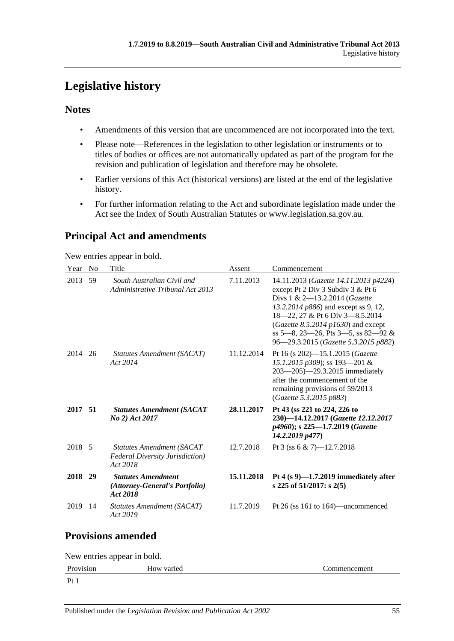# <span id="page-54-0"></span>**Legislative history**

## **Notes**

- Amendments of this version that are uncommenced are not incorporated into the text.
- Please note—References in the legislation to other legislation or instruments or to titles of bodies or offices are not automatically updated as part of the program for the revision and publication of legislation and therefore may be obsolete.
- Earlier versions of this Act (historical versions) are listed at the end of the legislative history.
- For further information relating to the Act and subordinate legislation made under the Act see the Index of South Australian Statutes or www.legislation.sa.gov.au.

# **Principal Act and amendments**

New entries appear in bold.

| Year                      | N <sub>0</sub> | Title                                                                                   | Assent     | Commencement                                                                                                                                                                                                                                                                                                   |  |  |
|---------------------------|----------------|-----------------------------------------------------------------------------------------|------------|----------------------------------------------------------------------------------------------------------------------------------------------------------------------------------------------------------------------------------------------------------------------------------------------------------------|--|--|
| 2013                      | 59             | South Australian Civil and<br>Administrative Tribunal Act 2013                          | 7.11.2013  | 14.11.2013 (Gazette 14.11.2013 p4224)<br>except Pt 2 Div 3 Subdiv 3 & Pt 6<br>Divs 1 & 2-13.2.2014 (Gazette<br>13.2.2014 p886) and except ss 9, 12,<br>18-22, 27 & Pt 6 Div 3-8.5.2014<br>(Gazette 8.5.2014 $p1630$ ) and except<br>ss 5-8, 23-26, Pts 3-5, ss 82-92 &<br>96—29.3.2015 (Gazette 5.3.2015 p882) |  |  |
| 2014                      | 26             | Statutes Amendment (SACAT)<br>Act 2014                                                  | 11.12.2014 | Pt 16 (s 202)-15.1.2015 (Gazette<br>15.1.2015 p309); ss 193-201 &<br>203-205)-29.3.2015 immediately<br>after the commencement of the<br>remaining provisions of 59/2013<br>(Gazette 5.3.2015 p883)                                                                                                             |  |  |
| 2017 51                   |                | <b>Statutes Amendment (SACAT</b><br>No 2) Act 2017                                      | 28.11.2017 | Pt 43 (ss 221 to 224, 226 to<br>230)-14.12.2017 (Gazette 12.12.2017<br>p4960); s 225-1.7.2019 (Gazette<br>14.2.2019 p477)                                                                                                                                                                                      |  |  |
| 2018 5                    |                | <b>Statutes Amendment (SACAT</b><br><b>Federal Diversity Jurisdiction</b> )<br>Act 2018 | 12.7.2018  | Pt 3 (ss 6 & 7)-12.7.2018                                                                                                                                                                                                                                                                                      |  |  |
| 2018 29                   |                | <b>Statutes Amendment</b><br>(Attorney-General's Portfolio)<br>Act 2018                 | 15.11.2018 | Pt 4 $(s 9)$ —1.7.2019 immediately after<br>s 225 of 51/2017: s 2(5)                                                                                                                                                                                                                                           |  |  |
| 2019                      | 14             | Statutes Amendment (SACAT)<br>Act 2019                                                  | 11.7.2019  | Pt 26 (ss 161 to 164)—uncommenced                                                                                                                                                                                                                                                                              |  |  |
| $\mathbf{D}_{\mathbf{z}}$ |                |                                                                                         |            |                                                                                                                                                                                                                                                                                                                |  |  |

# **Provisions amended**

New entries appear in bold. Provision How varied Commencement Pt 1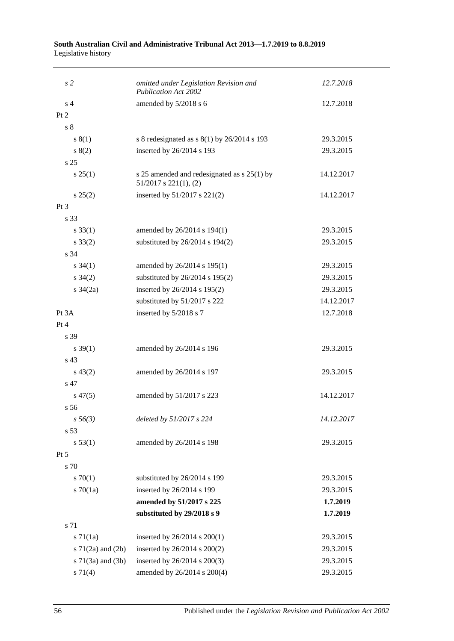#### **South Australian Civil and Administrative Tribunal Act 2013—1.7.2019 to 8.8.2019** Legislative history

| s <sub>2</sub>           | omitted under Legislation Revision and<br><b>Publication Act 2002</b>     | 12.7.2018  |
|--------------------------|---------------------------------------------------------------------------|------------|
| s <sub>4</sub>           | amended by 5/2018 s 6                                                     | 12.7.2018  |
| Pt 2                     |                                                                           |            |
| s <sub>8</sub>           |                                                                           |            |
| s(1)                     | s 8 redesignated as $s(1)$ by 26/2014 s 193                               | 29.3.2015  |
| s(2)                     | inserted by 26/2014 s 193                                                 | 29.3.2015  |
| s <sub>25</sub>          |                                                                           |            |
| $s \, 25(1)$             | s 25 amended and redesignated as s 25(1) by<br>$51/2017$ s $221(1)$ , (2) | 14.12.2017 |
| $s\,25(2)$               | inserted by 51/2017 s 221(2)                                              | 14.12.2017 |
| $Pt\,3$                  |                                                                           |            |
| s 33                     |                                                                           |            |
| $s \, 33(1)$             | amended by 26/2014 s 194(1)                                               | 29.3.2015  |
| $s \, 33(2)$             | substituted by $26/2014$ s $194(2)$                                       | 29.3.2015  |
| s 34                     |                                                                           |            |
| $s \, 34(1)$             | amended by 26/2014 s 195(1)                                               | 29.3.2015  |
| $s \; 34(2)$             | substituted by 26/2014 s 195(2)                                           | 29.3.2015  |
| s $34(2a)$               | inserted by 26/2014 s 195(2)                                              | 29.3.2015  |
|                          | substituted by 51/2017 s 222                                              | 14.12.2017 |
| Pt 3A                    | inserted by 5/2018 s 7                                                    | 12.7.2018  |
| Pt 4                     |                                                                           |            |
| s 39                     |                                                                           |            |
| $s \, 39(1)$             | amended by 26/2014 s 196                                                  | 29.3.2015  |
| s 43                     |                                                                           |            |
| $s\,43(2)$               | amended by 26/2014 s 197                                                  | 29.3.2015  |
| s 47                     |                                                                           |            |
| $s\,47(5)$               | amended by 51/2017 s 223                                                  | 14.12.2017 |
| s <sub>56</sub>          |                                                                           |            |
| $s\,56(3)$               | deleted by 51/2017 s 224                                                  | 14.12.2017 |
| s 53                     |                                                                           |            |
| s 53(1)                  | amended by 26/2014 s 198                                                  | 29.3.2015  |
| Pt 5                     |                                                                           |            |
| s 70                     |                                                                           |            |
| 570(1)                   | substituted by 26/2014 s 199                                              | 29.3.2015  |
| $s \, 70(1a)$            | inserted by 26/2014 s 199                                                 | 29.3.2015  |
|                          | amended by 51/2017 s 225                                                  | 1.7.2019   |
|                          | substituted by 29/2018 s 9                                                | 1.7.2019   |
| s 71                     |                                                                           |            |
| $s \, 71(1a)$            | inserted by 26/2014 s 200(1)                                              | 29.3.2015  |
| s $71(2a)$ and $(2b)$    | inserted by 26/2014 s 200(2)                                              | 29.3.2015  |
| $s \, 71(3a)$ and $(3b)$ | inserted by 26/2014 s 200(3)                                              | 29.3.2015  |
| $s \, 71(4)$             | amended by 26/2014 s 200(4)                                               | 29.3.2015  |